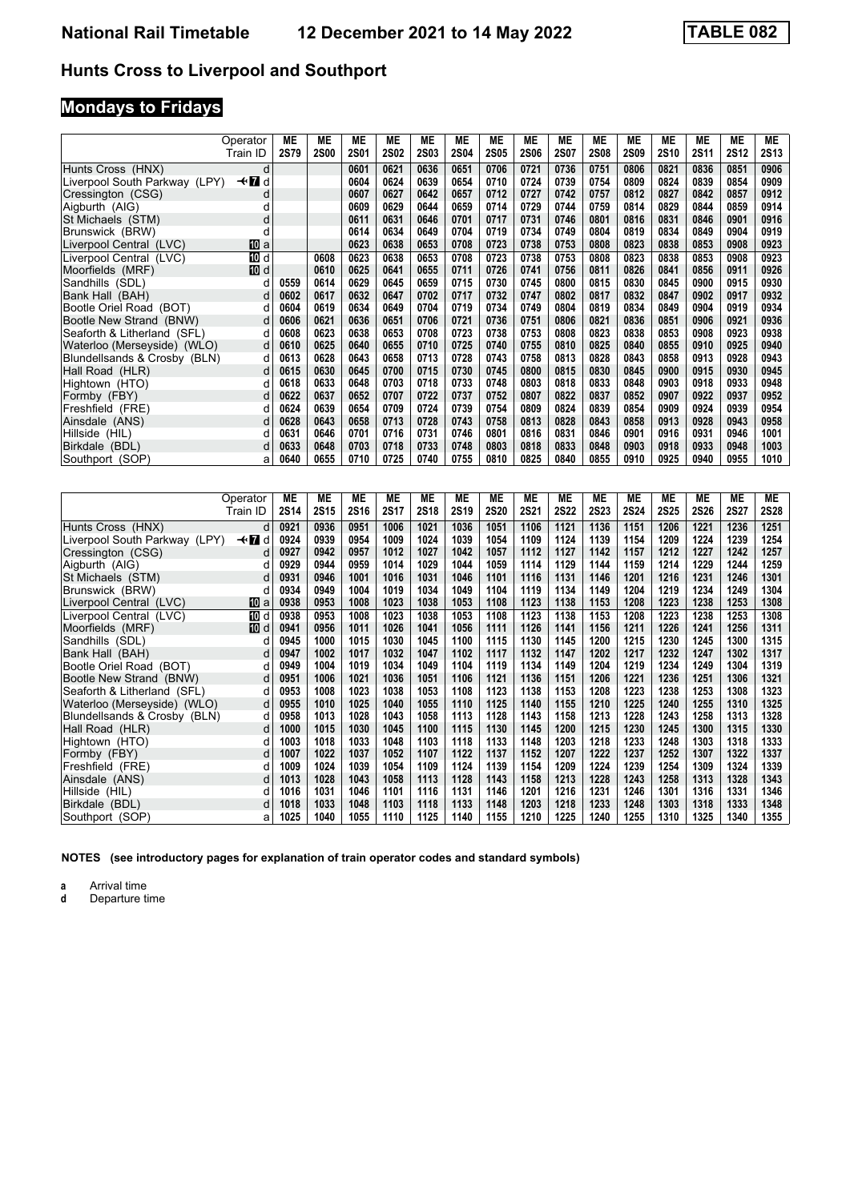# **Mondays to Fridays**

|                               | Operator | МE          | MЕ          | МE          | МE          | ME          | МE          | МE          | ME          | МE          | МE          | ME          | <b>ME</b>   | МE          | МE          | MЕ          |
|-------------------------------|----------|-------------|-------------|-------------|-------------|-------------|-------------|-------------|-------------|-------------|-------------|-------------|-------------|-------------|-------------|-------------|
|                               | Train ID | <b>2S79</b> | <b>2S00</b> | <b>2S01</b> | <b>2S02</b> | <b>2S03</b> | <b>2S04</b> | <b>2S05</b> | <b>2S06</b> | <b>2S07</b> | <b>2S08</b> | <b>2S09</b> | <b>2S10</b> | <b>2S11</b> | <b>2S12</b> | <b>2S13</b> |
| Hunts Cross (HNX)             | d        |             |             | 0601        | 0621        | 0636        | 0651        | 0706        | 0721        | 0736        | 0751        | 0806        | 0821        | 0836        | 0851        | 0906        |
| Liverpool South Parkway (LPY) | ≁П<br>d  |             |             | 0604        | 0624        | 0639        | 0654        | 0710        | 0724        | 0739        | 0754        | 0809        | 0824        | 0839        | 0854        | 0909        |
| Cressington (CSG)             | d        |             |             | 0607        | 0627        | 0642        | 0657        | 0712        | 0727        | 0742        | 0757        | 0812        | 0827        | 0842        | 0857        | 0912        |
| Aigburth (AIG)                |          |             |             | 0609        | 0629        | 0644        | 0659        | 0714        | 0729        | 0744        | 0759        | 0814        | 0829        | 0844        | 0859        | 0914        |
| St Michaels (STM)             | d        |             |             | 0611        | 0631        | 0646        | 0701        | 0717        | 0731        | 0746        | 0801        | 0816        | 0831        | 0846        | 0901        | 0916        |
| Brunswick (BRW)               | C        |             |             | 0614        | 0634        | 0649        | 0704        | 0719        | 0734        | 0749        | 0804        | 0819        | 0834        | 0849        | 0904        | 0919        |
| Liverpool Central (LVC)       | [[] a    |             |             | 0623        | 0638        | 0653        | 0708        | 0723        | 0738        | 0753        | 0808        | 0823        | 0838        | 0853        | 0908        | 0923        |
| Liverpool Central (LVC)       | 10 d     |             | 0608        | 0623        | 0638        | 0653        | 0708        | 0723        | 0738        | 0753        | 0808        | 0823        | 0838        | 0853        | 0908        | 0923        |
| Moorfields (MRF)              | [10] d   |             | 0610        | 0625        | 0641        | 0655        | 0711        | 0726        | 0741        | 0756        | 0811        | 0826        | 0841        | 0856        | 0911        | 0926        |
| Sandhills (SDL)               | d        | 0559        | 0614        | 0629        | 0645        | 0659        | 0715        | 0730        | 0745        | 0800        | 0815        | 0830        | 0845        | 0900        | 0915        | 0930        |
| Bank Hall (BAH)               |          | 0602        | 0617        | 0632        | 0647        | 0702        | 0717        | 0732        | 0747        | 0802        | 0817        | 0832        | 0847        | 0902        | 0917        | 0932        |
| Bootle Oriel Road (BOT)       |          | 0604        | 0619        | 0634        | 0649        | 0704        | 0719        | 0734        | 0749        | 0804        | 0819        | 0834        | 0849        | 0904        | 0919        | 0934        |
| Bootle New Strand (BNW)       | d        | 0606        | 0621        | 0636        | 0651        | 0706        | 0721        | 0736        | 0751        | 0806        | 0821        | 0836        | 0851        | 0906        | 0921        | 0936        |
| Seaforth & Litherland (SFL)   |          | 0608        | 0623        | 0638        | 0653        | 0708        | 0723        | 0738        | 0753        | 0808        | 0823        | 0838        | 0853        | 0908        | 0923        | 0938        |
| Waterloo (Merseyside) (WLO)   | d        | 0610        | 0625        | 0640        | 0655        | 0710        | 0725        | 0740        | 0755        | 0810        | 0825        | 0840        | 0855        | 0910        | 0925        | 0940        |
| Blundellsands & Crosby (BLN)  | d        | 0613        | 0628        | 0643        | 0658        | 0713        | 0728        | 0743        | 0758        | 0813        | 0828        | 0843        | 0858        | 0913        | 0928        | 0943        |
| Hall Road (HLR)               | d        | 0615        | 0630        | 0645        | 0700        | 0715        | 0730        | 0745        | 0800        | 0815        | 0830        | 0845        | 0900        | 0915        | 0930        | 0945        |
| Hightown (HTO)                |          | 0618        | 0633        | 0648        | 0703        | 0718        | 0733        | 0748        | 0803        | 0818        | 0833        | 0848        | 0903        | 0918        | 0933        | 0948        |
| Formby (FBY)                  |          | 0622        | 0637        | 0652        | 0707        | 0722        | 0737        | 0752        | 0807        | 0822        | 0837        | 0852        | 0907        | 0922        | 0937        | 0952        |
| Freshfield (FRE)              | d        | 0624        | 0639        | 0654        | 0709        | 0724        | 0739        | 0754        | 0809        | 0824        | 0839        | 0854        | 0909        | 0924        | 0939        | 0954        |
| Ainsdale (ANS)                | d        | 0628        | 0643        | 0658        | 0713        | 0728        | 0743        | 0758        | 0813        | 0828        | 0843        | 0858        | 0913        | 0928        | 0943        | 0958        |
| Hillside (HIL)                |          | 0631        | 0646        | 0701        | 0716        | 0731        | 0746        | 0801        | 0816        | 0831        | 0846        | 0901        | 0916        | 0931        | 0946        | 1001        |
| Birkdale (BDL)                |          | 0633        | 0648        | 0703        | 0718        | 0733        | 0748        | 0803        | 0818        | 0833        | 0848        | 0903        | 0918        | 0933        | 0948        | 1003        |
| Southport (SOP)               | a        | 0640        | 0655        | 0710        | 0725        | 0740        | 0755        | 0810        | 0825        | 0840        | 0855        | 0910        | 0925        | 0940        | 0955        | 1010        |

|                               | Operator    | ME          | <b>ME</b>   | <b>ME</b>   | <b>ME</b>   | <b>ME</b>   | МE   | МE   | ME   | <b>ME</b>   | МE          | МE          | ME          | <b>ME</b>   | <b>ME</b>   | <b>ME</b>   |
|-------------------------------|-------------|-------------|-------------|-------------|-------------|-------------|------|------|------|-------------|-------------|-------------|-------------|-------------|-------------|-------------|
|                               | Train ID    | <b>2S14</b> | <b>2S15</b> | <b>2S16</b> | <b>2S17</b> | <b>2S18</b> | 2S19 | 2S20 | 2S21 | <b>2S22</b> | <b>2S23</b> | <b>2S24</b> | <b>2S25</b> | <b>2S26</b> | <b>2S27</b> | <b>2S28</b> |
| Hunts Cross (HNX)             | d           | 0921        | 0936        | 0951        | 1006        | 1021        | 1036 | 1051 | 1106 | 1121        | 1136        | 1151        | 1206        | 1221        | 1236        | 1251        |
| Liverpool South Parkway (LPY) | —trid       | 0924        | 0939        | 0954        | 1009        | 1024        | 1039 | 1054 | 1109 | 1124        | 1139        | 1154        | 1209        | 1224        | 1239        | 1254        |
| Cressington (CSG)             | d           | 0927        | 0942        | 0957        | 1012        | 1027        | 1042 | 1057 | 1112 | 1127        | 1142        | 1157        | 1212        | 1227        | 1242        | 1257        |
| Aigburth (AIG)                | d           | 0929        | 0944        | 0959        | 1014        | 1029        | 1044 | 1059 | 1114 | 1129        | 1144        | 1159        | 1214        | 1229        | 1244        | 1259        |
| St Michaels (STM)             | d           | 0931        | 0946        | 1001        | 1016        | 1031        | 1046 | 1101 | 1116 | 1131        | 1146        | 1201        | 1216        | 1231        | 1246        | 1301        |
| Brunswick (BRW)               | d           | 0934        | 0949        | 1004        | 1019        | 1034        | 1049 | 1104 | 1119 | 1134        | 1149        | 1204        | 1219        | 1234        | 1249        | 1304        |
| Liverpool Central (LVC)       | 10 a        | 0938        | 0953        | 1008        | 1023        | 1038        | 1053 | 1108 | 1123 | 1138        | 1153        | 1208        | 1223        | 1238        | 1253        | 1308        |
| Liverpool Central (LVC)       | 10 d        | 0938        | 0953        | 1008        | 1023        | 1038        | 1053 | 1108 | 1123 | 1138        | 1153        | 1208        | 1223        | 1238        | 1253        | 1308        |
| Moorfields (MRF)              | <b>ID</b> d | 0941        | 0956        | 1011        | 1026        | 1041        | 1056 | 1111 | 1126 | 1141        | 1156        | 1211        | 1226        | 1241        | 1256        | 1311        |
| Sandhills (SDL)               |             | 0945        | 1000        | 1015        | 1030        | 1045        | 1100 | 1115 | 1130 | 1145        | 1200        | 1215        | 1230        | 1245        | 1300        | 1315        |
| Bank Hall (BAH)               |             | 0947        | 1002        | 1017        | 1032        | 1047        | 1102 | 1117 | 1132 | 1147        | 1202        | 1217        | 1232        | 1247        | 1302        | 1317        |
| Bootle Oriel Road (BOT)       |             | 0949        | 1004        | 1019        | 1034        | 1049        | 1104 | 1119 | 1134 | 1149        | 1204        | 1219        | 1234        | 1249        | 1304        | 1319        |
| Bootle New Strand (BNW)       | d           | 0951        | 1006        | 1021        | 1036        | 1051        | 1106 | 1121 | 1136 | 1151        | 1206        | 1221        | 1236        | 1251        | 1306        | 1321        |
| Seaforth & Litherland (SFL)   | d           | 0953        | 1008        | 1023        | 1038        | 1053        | 1108 | 1123 | 1138 | 1153        | 1208        | 1223        | 1238        | 1253        | 1308        | 1323        |
| Waterloo (Merseyside) (WLO)   | d           | 0955        | 1010        | 1025        | 1040        | 1055        | 1110 | 1125 | 1140 | 1155        | 1210        | 1225        | 1240        | 1255        | 1310        | 1325        |
| Blundellsands & Crosby (BLN)  | d           | 0958        | 1013        | 1028        | 1043        | 1058        | 1113 | 1128 | 1143 | 1158        | 1213        | 1228        | 1243        | 1258        | 1313        | 1328        |
| Hall Road (HLR)               | d           | 1000        | 1015        | 1030        | 1045        | 1100        | 1115 | 1130 | 1145 | 1200        | 1215        | 1230        | 1245        | 1300        | 1315        | 1330        |
| Hightown (HTO)                |             | 1003        | 1018        | 1033        | 1048        | 1103        | 1118 | 1133 | 1148 | 1203        | 1218        | 1233        | 1248        | 1303        | 1318        | 1333        |
| Formby (FBY)                  |             | 1007        | 1022        | 1037        | 1052        | 1107        | 1122 | 1137 | 1152 | 1207        | 1222        | 1237        | 1252        | 1307        | 1322        | 1337        |
| Freshfield (FRE)              | d           | 1009        | 1024        | 1039        | 1054        | 1109        | 1124 | 1139 | 1154 | 1209        | 1224        | 1239        | 1254        | 1309        | 1324        | 1339        |
| Ainsdale (ANS)                | d           | 1013        | 1028        | 1043        | 1058        | 1113        | 1128 | 1143 | 1158 | 1213        | 1228        | 1243        | 1258        | 1313        | 1328        | 1343        |
| Hillside (HIL)                |             | 1016        | 1031        | 1046        | 1101        | 1116        | 1131 | 1146 | 1201 | 1216        | 1231        | 1246        | 1301        | 1316        | 1331        | 1346        |
| Birkdale (BDL)                | d           | 1018        | 1033        | 1048        | 1103        | 1118        | 1133 | 1148 | 1203 | 1218        | 1233        | 1248        | 1303        | 1318        | 1333        | 1348        |
| Southport (SOP)               | a           | 1025        | 1040        | 1055        | 1110        | 1125        | 1140 | 1155 | 1210 | 1225        | 1240        | 1255        | 1310        | 1325        | 1340        | 1355        |

**NOTES (see introductory pages for explanation of train operator codes and standard symbols)**

**a** Arrival time<br>**d** Departure time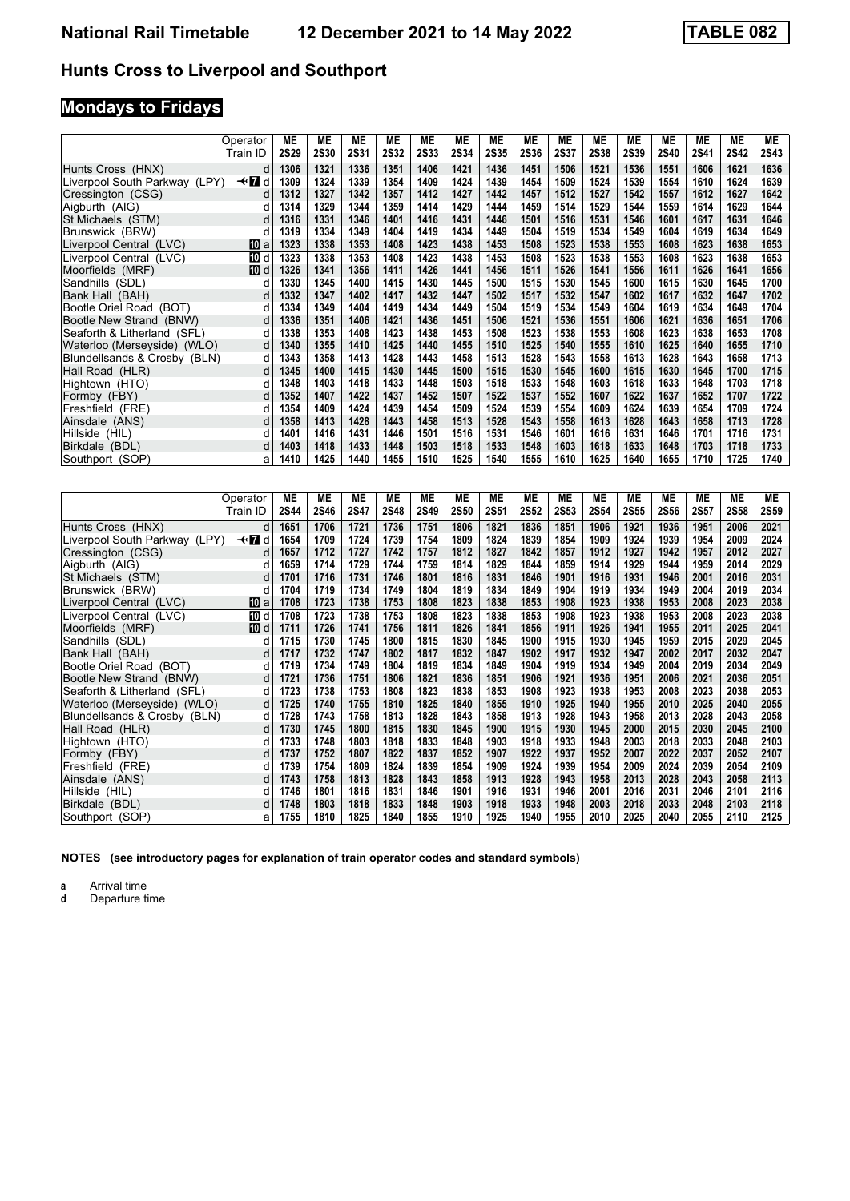# **Mondays to Fridays**

|                               | Operator<br>Train ID | МE<br><b>2S29</b> | MЕ<br><b>2S30</b> | MЕ<br><b>2S31</b> | МE<br><b>2S32</b> | ME<br><b>2S33</b> | MЕ<br><b>2S34</b> | МE<br>2S35 | ME<br><b>2S36</b> | МE<br>2S37 | МE<br><b>2S38</b> | ME<br><b>2S39</b> | ME<br><b>2S40</b> | МE<br>2S41 | МE<br><b>2S42</b> | MЕ<br><b>2S43</b> |
|-------------------------------|----------------------|-------------------|-------------------|-------------------|-------------------|-------------------|-------------------|------------|-------------------|------------|-------------------|-------------------|-------------------|------------|-------------------|-------------------|
|                               |                      |                   |                   |                   |                   |                   |                   |            |                   |            |                   |                   |                   |            |                   |                   |
| Hunts Cross (HNX)             | d                    | 1306              | 1321              | 1336              | 1351              | 1406              | 1421              | 1436       | 1451              | 1506       | 1521              | 1536              | 1551              | 1606       | 1621              | 1636              |
| Liverpool South Parkway (LPY) | $\star$ n<br>d       | 1309              | 1324              | 1339              | 1354              | 1409              | 1424              | 1439       | 1454              | 1509       | 1524              | 1539              | 1554              | 1610       | 1624              | 1639              |
| Cressington (CSG)             | d                    | 1312              | 1327              | 1342              | 1357              | 1412              | 1427              | 1442       | 1457              | 1512       | 1527              | 1542              | 1557              | 1612       | 1627              | 1642              |
| Aigburth (AIG)                | d                    | 1314              | 1329              | 1344              | 1359              | 1414              | 1429              | 1444       | 1459              | 1514       | 1529              | 1544              | 1559              | 1614       | 1629              | 1644              |
| St Michaels (STM)             | d                    | 1316              | 1331              | 1346              | 1401              | 1416              | 1431              | 1446       | 1501              | 1516       | 1531              | 1546              | 1601              | 1617       | 1631              | 1646              |
| Brunswick (BRW)               | d                    | 1319              | 1334              | 1349              | 1404              | 1419              | 1434              | 1449       | 1504              | 1519       | 1534              | 1549              | 1604              | 1619       | 1634              | 1649              |
| Liverpool Central (LVC)       | [10] a               | 1323              | 1338              | 1353              | 1408              | 1423              | 1438              | 1453       | 1508              | 1523       | 1538              | 1553              | 1608              | 1623       | 1638              | 1653              |
| Liverpool Central (LVC)       | 10 d                 | 1323              | 1338              | 1353              | 1408              | 1423              | 1438              | 1453       | 1508              | 1523       | 1538              | 1553              | 1608              | 1623       | 1638              | 1653              |
| Moorfields (MRF)              | [10] d               | 1326              | 1341              | 1356              | 1411              | 1426              | 1441              | 1456       | 1511              | 1526       | 1541              | 1556              | 1611              | 1626       | 1641              | 1656              |
| Sandhills (SDL)               | d                    | 1330              | 1345              | 1400              | 1415              | 1430              | 1445              | 1500       | 1515              | 1530       | 1545              | 1600              | 1615              | 1630       | 1645              | 1700              |
| Bank Hall (BAH)               | d                    | 1332              | 1347              | 1402              | 1417              | 1432              | 1447              | 1502       | 1517              | 1532       | 1547              | 1602              | 1617              | 1632       | 1647              | 1702              |
| Bootle Oriel Road (BOT)       | d                    | 1334              | 1349              | 1404              | 1419              | 1434              | 1449              | 1504       | 1519              | 1534       | 1549              | 1604              | 1619              | 1634       | 1649              | 1704              |
| Bootle New Strand (BNW)       | d                    | 1336              | 1351              | 1406              | 1421              | 1436              | 1451              | 1506       | 1521              | 1536       | 1551              | 1606              | 1621              | 1636       | 1651              | 1706              |
| Seaforth & Litherland (SFL)   | d                    | 1338              | 1353              | 1408              | 1423              | 1438              | 1453              | 1508       | 1523              | 1538       | 1553              | 1608              | 1623              | 1638       | 1653              | 1708              |
| Waterloo (Merseyside) (WLO)   | d                    | 1340              | 1355              | 1410              | 1425              | 1440              | 1455              | 1510       | 1525              | 1540       | 1555              | 1610              | 1625              | 1640       | 1655              | 1710              |
| Blundellsands & Crosby (BLN)  | d                    | 1343              | 1358              | 1413              | 1428              | 1443              | 1458              | 1513       | 1528              | 1543       | 1558              | 1613              | 1628              | 1643       | 1658              | 1713              |
| Hall Road (HLR)               | d                    | 1345              | 1400              | 1415              | 1430              | 1445              | 1500              | 1515       | 1530              | 1545       | 1600              | 1615              | 1630              | 1645       | 1700              | 1715              |
| Hightown (HTO)                |                      | 1348              | 1403              | 1418              | 1433              | 1448              | 1503              | 1518       | 1533              | 1548       | 1603              | 1618              | 1633              | 1648       | 1703              | 1718              |
| Formby (FBY)                  | d                    | 1352              | 1407              | 1422              | 1437              | 1452              | 1507              | 1522       | 1537              | 1552       | 1607              | 1622              | 1637              | 1652       | 1707              | 1722              |
| Freshfield (FRE)              | d                    | 1354              | 1409              | 1424              | 1439              | 1454              | 1509              | 1524       | 1539              | 1554       | 1609              | 1624              | 1639              | 1654       | 1709              | 1724              |
| Ainsdale (ANS)                | d                    | 1358              | 1413              | 1428              | 1443              | 1458              | 1513              | 1528       | 1543              | 1558       | 1613              | 1628              | 1643              | 1658       | 1713              | 1728              |
| Hillside (HIL)                |                      | 1401              | 1416              | 1431              | 1446              | 1501              | 1516              | 1531       | 1546              | 1601       | 1616              | 1631              | 1646              | 1701       | 1716              | 1731              |
| Birkdale (BDL)                | d                    | 1403              | 1418              | 1433              | 1448              | 1503              | 1518              | 1533       | 1548              | 1603       | 1618              | 1633              | 1648              | 1703       | 1718              | 1733              |
| Southport (SOP)               | a                    | 1410              | 1425              | 1440              | 1455              | 1510              | 1525              | 1540       | 1555              | 1610       | 1625              | 1640              | 1655              | 1710       | 1725              | 1740              |

|                               | Operator | ME          | ME          | <b>ME</b>   | <b>ME</b>   | <b>ME</b> | МE          | МE   | <b>ME</b>   | <b>ME</b>   | МE   | <b>ME</b>   | <b>ME</b> | <b>ME</b> | <b>ME</b>   | МE          |
|-------------------------------|----------|-------------|-------------|-------------|-------------|-----------|-------------|------|-------------|-------------|------|-------------|-----------|-----------|-------------|-------------|
|                               | Train ID | <b>2S44</b> | <b>2S46</b> | <b>2S47</b> | <b>2S48</b> | 2S49      | <b>2S50</b> | 2S51 | <b>2S52</b> | <b>2S53</b> | 2S54 | <b>2S55</b> | 2S56      | 2S57      | <b>2S58</b> | <b>2S59</b> |
| Hunts Cross (HNX)             | d        | 1651        | 1706        | 1721        | 1736        | 1751      | 1806        | 1821 | 1836        | 1851        | 1906 | 1921        | 1936      | 1951      | 2006        | 2021        |
| Liverpool South Parkway (LPY) | —trid    | 1654        | 1709        | 1724        | 1739        | 1754      | 1809        | 1824 | 1839        | 1854        | 1909 | 1924        | 1939      | 1954      | 2009        | 2024        |
| Cressington (CSG)             | d        | 1657        | 1712        | 1727        | 1742        | 1757      | 1812        | 1827 | 1842        | 1857        | 1912 | 1927        | 1942      | 1957      | 2012        | 2027        |
| Aigburth (AIG)                | d        | 1659        | 1714        | 1729        | 1744        | 1759      | 1814        | 1829 | 1844        | 1859        | 1914 | 1929        | 1944      | 1959      | 2014        | 2029        |
| St Michaels (STM)             | d        | 1701        | 1716        | 1731        | 1746        | 1801      | 1816        | 1831 | 1846        | 1901        | 1916 | 1931        | 1946      | 2001      | 2016        | 2031        |
| Brunswick (BRW)               | d        | 1704        | 1719        | 1734        | 1749        | 1804      | 1819        | 1834 | 1849        | 1904        | 1919 | 1934        | 1949      | 2004      | 2019        | 2034        |
| Liverpool Central (LVC)       | [10] a   | 1708        | 1723        | 1738        | 1753        | 1808      | 1823        | 1838 | 1853        | 1908        | 1923 | 1938        | 1953      | 2008      | 2023        | 2038        |
| Liverpool Central (LVC)       | 10 d     | 1708        | 1723        | 1738        | 1753        | 1808      | 1823        | 1838 | 1853        | 1908        | 1923 | 1938        | 1953      | 2008      | 2023        | 2038        |
| Moorfields (MRF)              | [顶 d     | 1711        | 1726        | 1741        | 1756        | 1811      | 1826        | 1841 | 1856        | 1911        | 1926 | 1941        | 1955      | 2011      | 2025        | 2041        |
| Sandhills (SDL)               | d        | 1715        | 1730        | 1745        | 1800        | 1815      | 1830        | 1845 | 1900        | 1915        | 1930 | 1945        | 1959      | 2015      | 2029        | 2045        |
| Bank Hall (BAH)               | d        | 1717        | 1732        | 1747        | 1802        | 1817      | 1832        | 1847 | 1902        | 1917        | 1932 | 1947        | 2002      | 2017      | 2032        | 2047        |
| Bootle Oriel Road (BOT)       |          | 1719        | 1734        | 1749        | 1804        | 1819      | 1834        | 1849 | 1904        | 1919        | 1934 | 1949        | 2004      | 2019      | 2034        | 2049        |
| Bootle New Strand (BNW)       | d        | 1721        | 1736        | 1751        | 1806        | 1821      | 1836        | 1851 | 1906        | 1921        | 1936 | 1951        | 2006      | 2021      | 2036        | 2051        |
| Seaforth & Litherland (SFL)   | d        | 1723        | 1738        | 1753        | 1808        | 1823      | 1838        | 1853 | 1908        | 1923        | 1938 | 1953        | 2008      | 2023      | 2038        | 2053        |
| Waterloo (Merseyside) (WLO)   | d        | 1725        | 1740        | 1755        | 1810        | 1825      | 1840        | 1855 | 1910        | 1925        | 1940 | 1955        | 2010      | 2025      | 2040        | 2055        |
| Blundellsands & Crosby (BLN)  | d        | 1728        | 1743        | 1758        | 1813        | 1828      | 1843        | 1858 | 1913        | 1928        | 1943 | 1958        | 2013      | 2028      | 2043        | 2058        |
| Hall Road (HLR)               | d        | 1730        | 1745        | 1800        | 1815        | 1830      | 1845        | 1900 | 1915        | 1930        | 1945 | 2000        | 2015      | 2030      | 2045        | 2100        |
| Hightown (HTO)                |          | 1733        | 1748        | 1803        | 1818        | 1833      | 1848        | 1903 | 1918        | 1933        | 1948 | 2003        | 2018      | 2033      | 2048        | 2103        |
| Formby (FBY)                  |          | 1737        | 1752        | 1807        | 1822        | 1837      | 1852        | 1907 | 1922        | 1937        | 1952 | 2007        | 2022      | 2037      | 2052        | 2107        |
| Freshfield (FRE)              | d        | 1739        | 1754        | 1809        | 1824        | 1839      | 1854        | 1909 | 1924        | 1939        | 1954 | 2009        | 2024      | 2039      | 2054        | 2109        |
| Ainsdale (ANS)                | d        | 1743        | 1758        | 1813        | 1828        | 1843      | 1858        | 1913 | 1928        | 1943        | 1958 | 2013        | 2028      | 2043      | 2058        | 2113        |
| Hillside (HIL)                |          | 1746        | 1801        | 1816        | 1831        | 1846      | 1901        | 1916 | 1931        | 1946        | 2001 | 2016        | 2031      | 2046      | 2101        | 2116        |
| Birkdale (BDL)                | d        | 1748        | 1803        | 1818        | 1833        | 1848      | 1903        | 1918 | 1933        | 1948        | 2003 | 2018        | 2033      | 2048      | 2103        | 2118        |
| Southport (SOP)               | a        | 1755        | 1810        | 1825        | 1840        | 1855      | 1910        | 1925 | 1940        | 1955        | 2010 | 2025        | 2040      | 2055      | 2110        | 2125        |

**NOTES (see introductory pages for explanation of train operator codes and standard symbols)**

**a** Arrival time<br>**d** Departure time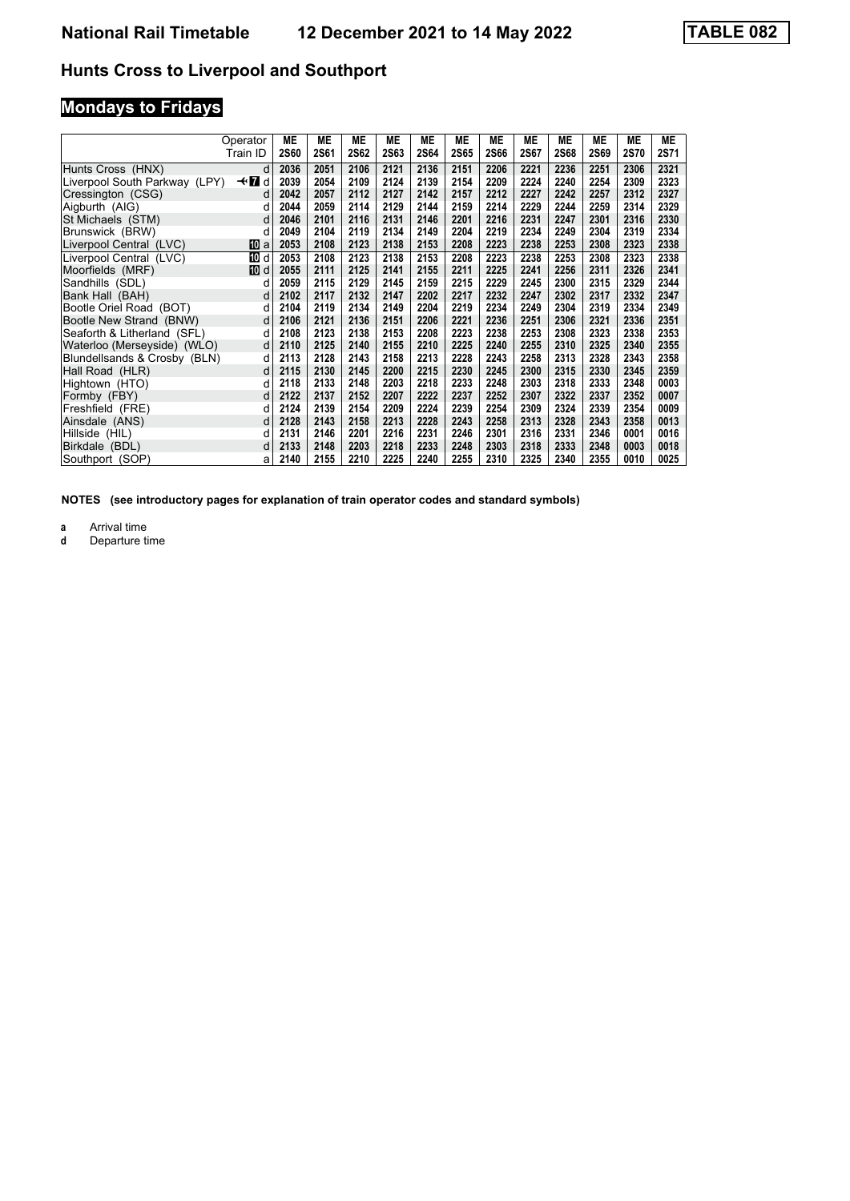# **Mondays to Fridays**

|                               | Operator    | MЕ          | ME   | MЕ   | <b>ME</b>   | <b>ME</b> | <b>ME</b>   | <b>ME</b> | MЕ   | МE   | <b>ME</b>   | ME          | <b>ME</b> |
|-------------------------------|-------------|-------------|------|------|-------------|-----------|-------------|-----------|------|------|-------------|-------------|-----------|
|                               | Train ID    | <b>2S60</b> | 2S61 | 2S62 | <b>2S63</b> | 2S64      | <b>2S65</b> | 2S66      | 2S67 | 2S68 | <b>2S69</b> | <b>2S70</b> | 2S71      |
| Hunts Cross (HNX)             | d           | 2036        | 2051 | 2106 | 2121        | 2136      | 2151        | 2206      | 2221 | 2236 | 2251        | 2306        | 2321      |
| Liverpool South Parkway (LPY) | —trid       | 2039        | 2054 | 2109 | 2124        | 2139      | 2154        | 2209      | 2224 | 2240 | 2254        | 2309        | 2323      |
| Cressington (CSG)             | d           | 2042        | 2057 | 2112 | 2127        | 2142      | 2157        | 2212      | 2227 | 2242 | 2257        | 2312        | 2327      |
| Aigburth (AIG)                | d           | 2044        | 2059 | 2114 | 2129        | 2144      | 2159        | 2214      | 2229 | 2244 | 2259        | 2314        | 2329      |
| St Michaels (STM)             | d           | 2046        | 2101 | 2116 | 2131        | 2146      | 2201        | 2216      | 2231 | 2247 | 2301        | 2316        | 2330      |
| Brunswick (BRW)               | d           | 2049        | 2104 | 2119 | 2134        | 2149      | 2204        | 2219      | 2234 | 2249 | 2304        | 2319        | 2334      |
| Liverpool Central (LVC)       | <b>TO</b> a | 2053        | 2108 | 2123 | 2138        | 2153      | 2208        | 2223      | 2238 | 2253 | 2308        | 2323        | 2338      |
| Liverpool Central (LVC)       | <b>TO</b> d | 2053        | 2108 | 2123 | 2138        | 2153      | 2208        | 2223      | 2238 | 2253 | 2308        | 2323        | 2338      |
| Moorfields (MRF)              | 而 d         | 2055        | 2111 | 2125 | 2141        | 2155      | 2211        | 2225      | 2241 | 2256 | 2311        | 2326        | 2341      |
| Sandhills (SDL)               | d           | 2059        | 2115 | 2129 | 2145        | 2159      | 2215        | 2229      | 2245 | 2300 | 2315        | 2329        | 2344      |
| Bank Hall (BAH)               | d           | 2102        | 2117 | 2132 | 2147        | 2202      | 2217        | 2232      | 2247 | 2302 | 2317        | 2332        | 2347      |
| Bootle Oriel Road (BOT)       | d           | 2104        | 2119 | 2134 | 2149        | 2204      | 2219        | 2234      | 2249 | 2304 | 2319        | 2334        | 2349      |
| Bootle New Strand (BNW)       | d           | 2106        | 2121 | 2136 | 2151        | 2206      | 2221        | 2236      | 2251 | 2306 | 2321        | 2336        | 2351      |
| Seaforth & Litherland (SFL)   | d           | 2108        | 2123 | 2138 | 2153        | 2208      | 2223        | 2238      | 2253 | 2308 | 2323        | 2338        | 2353      |
| Waterloo (Merseyside) (WLO)   | d           | 2110        | 2125 | 2140 | 2155        | 2210      | 2225        | 2240      | 2255 | 2310 | 2325        | 2340        | 2355      |
| Blundellsands & Crosby (BLN)  | d           | 2113        | 2128 | 2143 | 2158        | 2213      | 2228        | 2243      | 2258 | 2313 | 2328        | 2343        | 2358      |
| Hall Road (HLR)               | d           | 2115        | 2130 | 2145 | 2200        | 2215      | 2230        | 2245      | 2300 | 2315 | 2330        | 2345        | 2359      |
| Hightown (HTO)                | d           | 2118        | 2133 | 2148 | 2203        | 2218      | 2233        | 2248      | 2303 | 2318 | 2333        | 2348        | 0003      |
| Formby (FBY)                  | d           | 2122        | 2137 | 2152 | 2207        | 2222      | 2237        | 2252      | 2307 | 2322 | 2337        | 2352        | 0007      |
| Freshfield (FRE)              | d           | 2124        | 2139 | 2154 | 2209        | 2224      | 2239        | 2254      | 2309 | 2324 | 2339        | 2354        | 0009      |
| Ainsdale (ANS)                | d           | 2128        | 2143 | 2158 | 2213        | 2228      | 2243        | 2258      | 2313 | 2328 | 2343        | 2358        | 0013      |
| Hillside (HIL)                | d           | 2131        | 2146 | 2201 | 2216        | 2231      | 2246        | 2301      | 2316 | 2331 | 2346        | 0001        | 0016      |
| Birkdale (BDL)                | d           | 2133        | 2148 | 2203 | 2218        | 2233      | 2248        | 2303      | 2318 | 2333 | 2348        | 0003        | 0018      |
| Southport (SOP)               | a           | 2140        | 2155 | 2210 | 2225        | 2240      | 2255        | 2310      | 2325 | 2340 | 2355        | 0010        | 0025      |

**NOTES (see introductory pages for explanation of train operator codes and standard symbols)**

**a** Arrival time<br>**d** Departure t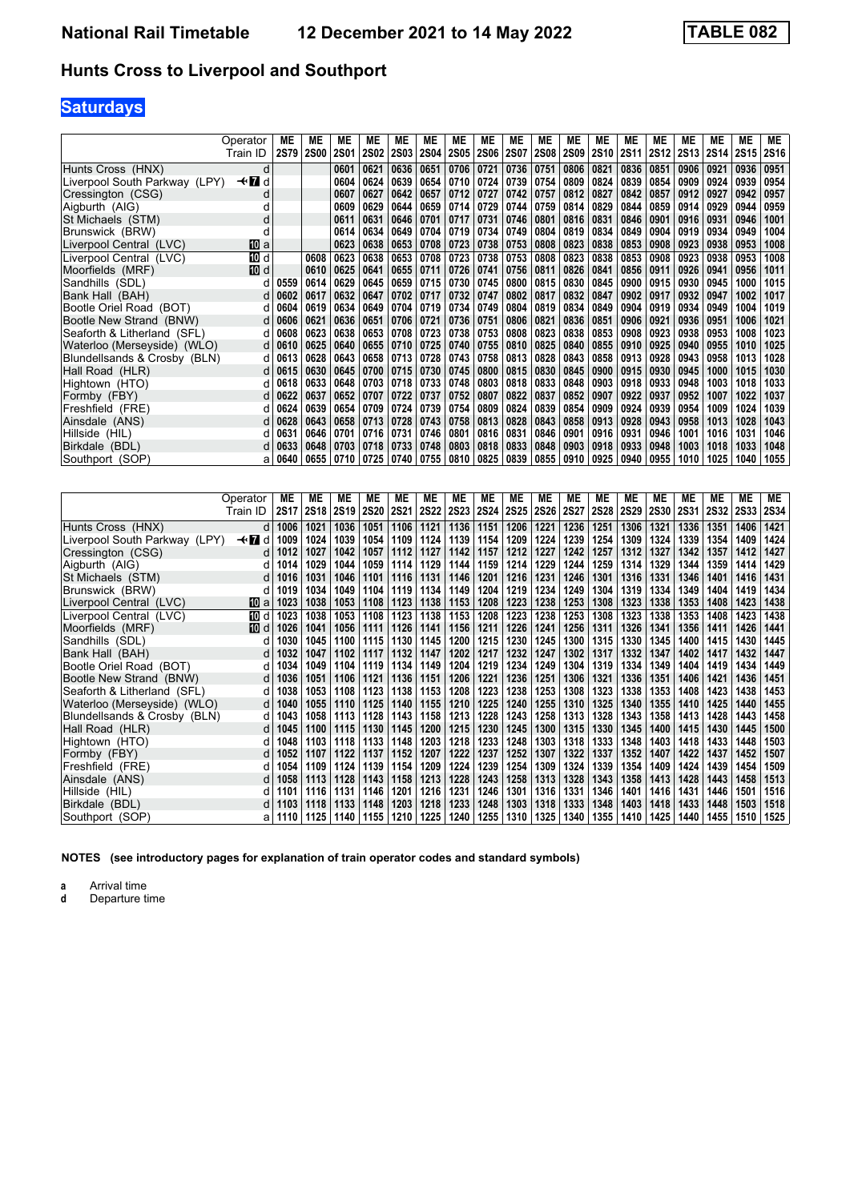# **Saturdays**

|                               | Operator | ME   | ME          | МE          | МE          | МE          | ME          | МE          | МE          | МE          | MЕ          | ME          | MЕ          | МE          | MЕ          | ME          | ME          | <b>ME</b>   | <b>ME</b>   |
|-------------------------------|----------|------|-------------|-------------|-------------|-------------|-------------|-------------|-------------|-------------|-------------|-------------|-------------|-------------|-------------|-------------|-------------|-------------|-------------|
|                               | Train ID | 2S79 | <b>2S00</b> | <b>2S01</b> | <b>2S02</b> | <b>2S03</b> | <b>2S04</b> | <b>2S05</b> | <b>2S06</b> | <b>2S07</b> | <b>2S08</b> | <b>2S09</b> | <b>2S10</b> | <b>2S11</b> | <b>2S12</b> | <b>2S13</b> | <b>2S14</b> | <b>2S15</b> | <b>2S16</b> |
| Hunts Cross (HNX)             | d        |      |             | 0601        | 0621        | 0636        | 0651        | 0706        | 0721        | 0736        | 0751        | 0806        | 0821        | 0836        | 0851        | 0906        | 0921        | 0936        | 0951        |
| Liverpool South Parkway (LPY) | —trid    |      |             | 0604        | 0624        | 0639        | 0654        | 0710        | 0724        | 0739        | 0754        | 0809        | 0824        | 0839        | 0854        | 0909        | 0924        | 0939        | 0954        |
| Cressington (CSG)             | d        |      |             | 0607        | 0627        | 0642        | 0657        | 0712        | 0727        | 0742        | 0757        | 0812        | 0827        | 0842        | 0857        | 0912        | 0927        | 0942        | 0957        |
| Aigburth (AIG)                | а        |      |             | 0609        | 0629        | 0644        | 0659        | 0714        | 0729        | 0744        | 0759        | 0814        | 0829        | 0844        | 0859        | 0914        | 0929        | 0944        | 0959        |
| St Michaels (STM)             | d        |      |             | 0611        | 0631        | 0646        | 0701        | 0717        | 0731        | 0746        | 0801        | 0816        | 0831        | 0846        | 0901        | 0916        | 0931        | 0946        | 1001        |
| Brunswick (BRW)               | d        |      |             | 0614        | 0634        | 0649        | 0704        | 0719        | 0734        | 0749        | 0804        | 0819        | 0834        | 0849        | 0904        | 0919        | 0934        | 0949        | 1004        |
| Liverpool Central (LVC)       | [10] a   |      |             | 0623        | 0638        | 0653        | 0708        | 0723        | 0738        | 0753        | 0808        | 0823        | 0838        | 0853        | 0908        | 0923        | 0938        | 0953        | 1008        |
| Liverpool Central (LVC)       | 10 d     |      | 0608        | 0623        | 0638        | 0653        | 0708        | 0723        | 0738        | 0753        | 0808        | 0823        | 0838        | 0853        | 0908        | 0923        | 0938        | 0953        | 1008        |
| Moorfields (MRF)              | 10 d     |      | 0610        | 0625        | 0641        | 0655        | 0711        | 0726        | 0741        | 0756        | 0811        | 0826        | 0841        | 0856        | 0911        | 0926        | 0941        | 0956        | 1011        |
| Sandhills (SDL)               |          | 0559 | 0614        | 0629        | 0645        | 0659        | 0715        | 0730        | 0745        | 0800        | 0815        | 0830        | 0845        | 0900        | 0915        | 0930        | 0945        | 1000        | 1015        |
| Bank Hall (BAH)               | d        | 0602 | 0617        | 0632        | 0647        | 0702        | 0717        | 0732        | 0747        | 0802        | 0817        | 0832        | 0847        | 0902        | 0917        | 0932        | 0947        | 1002        | 1017        |
| Bootle Oriel Road (BOT)       | d        | 0604 | 0619        | 0634        | 0649        | 0704        | 0719        | 0734        | 0749        | 0804        | 0819        | 0834        | 0849        | 0904        | 0919        | 0934        | 0949        | 1004        | 1019        |
| Bootle New Strand (BNW)       | d        | 0606 | 0621        | 0636        | 0651        | 0706        | 0721        | 0736        | 0751        | 0806        | 0821        | 0836        | 0851        | 0906        | 0921        | 0936        | 0951        | 1006        | 1021        |
| Seaforth & Litherland (SFL)   | d        | 0608 | 0623        | 0638        | 0653        | 0708        | 0723        | 0738        | 0753        | 0808        | 0823        | 0838        | 0853        | 0908        | 0923        | 0938        | 0953        | 1008        | 1023        |
| Waterloo (Merseyside) (WLO)   | d        | 0610 | 0625        | 0640        | 0655        | 0710        | 0725        | 0740        | 0755        | 0810        | 0825        | 0840        | 0855        | 0910        | 0925        | 0940        | 0955        | 1010        | 1025        |
| Blundellsands & Crosby (BLN)  | а        | 0613 | 0628        | 0643        | 0658        | 0713        | 0728        | 0743        | 0758        | 0813        | 0828        | 0843        | 0858        | 0913        | 0928        | 0943        | 0958        | 1013        | 1028        |
| Hall Road (HLR)               | d        | 0615 | 0630        | 0645        | 0700        | 0715        | 0730        | 0745        | 0800        | 0815        | 0830        | 0845        | 0900        | 0915        | 0930        | 0945        | 1000        | 1015        | 1030        |
| Hightown (HTO)                | d        | 0618 | 0633        | 0648        | 0703        | 0718        | 0733        | 0748        | 0803        | 0818        | 0833        | 0848        | 0903        | 0918        | 0933        | 0948        | 1003        | 1018        | 1033        |
| Formby (FBY)                  | d        | 0622 | 0637        | 0652        | 0707        | 0722        | 0737        | 0752        | 0807        | 0822        | 0837        | 0852        | 0907        | 0922        | 0937        | 0952        | 1007        | 1022        | 1037        |
| Freshfield (FRE)              | d        | 0624 | 0639        | 0654        | 0709        | 0724        | 0739        | 0754        | 0809        | 0824        | 0839        | 0854        | 0909        | 0924        | 0939        | 0954        | 1009        | 1024        | 1039        |
| Ainsdale (ANS)                |          | 0628 | 0643        | 0658        | 0713        | 0728        | 0743        | 0758        | 0813        | 0828        | 0843        | 0858        | 0913        | 0928        | 0943        | 0958        | 1013        | 1028        | 1043        |
| Hillside (HIL)                | d        | 0631 | 0646        | 0701        | 0716        | 0731        | 0746        | 0801        | 0816        | 0831        | 0846        | 0901        | 0916        | 0931        | 0946        | 1001        | 1016        | 1031        | 1046        |
| Birkdale (BDL)                | d        | 0633 | 0648        | 0703        | 0718        | 0733        | 0748        | 0803        | 0818        | 0833        | 0848        | 0903        | 0918        | 0933        | 0948        | 1003        | 1018        | 1033        | 1048        |
| Southport (SOP)               | a        | 0640 | 0655        | 0710        | 0725        | 0740        | 0755        | 0810        | 0825        | 0839        | 0855        | 0910        | 0925        | 0940        | 0955        | 1010        | 1025        | 1040        | 1055        |

|                               | Operator | МE   | МE          | МE   | <b>ME</b>   | ME          | <b>ME</b>   | МE          | ME          | МE          | ME          | МE          | ME          | MЕ          | ME          | МE          | ME          | <b>ME</b>   | МE          |
|-------------------------------|----------|------|-------------|------|-------------|-------------|-------------|-------------|-------------|-------------|-------------|-------------|-------------|-------------|-------------|-------------|-------------|-------------|-------------|
|                               | Train ID | 2S17 | <b>2S18</b> | 2S19 | <b>2S20</b> | <b>2S21</b> | <b>2S22</b> | <b>2S23</b> | <b>2S24</b> | <b>2S25</b> | <b>2S26</b> | <b>2S27</b> | <b>2S28</b> | <b>2S29</b> | <b>2S30</b> | <b>2S31</b> | <b>2S32</b> | <b>2S33</b> | <b>2S34</b> |
| Hunts Cross (HNX)             | d        | 1006 | 1021        | 1036 | 1051        | 1106        | 1121        | 1136        | 1151        | 1206        | 1221        | 1236        | 1251        | 1306        | 1321        | 1336        | 1351        | 1406        | 1421        |
| Liverpool South Parkway (LPY) | —trid    | 1009 | 1024        | 1039 | 1054        | 1109        | 1124        | 1139        | 1154        | 1209        | 1224        | 1239        | 1254        | 1309        | 1324        | 1339        | 1354        | 1409        | 1424        |
| Cressington (CSG)             | d        | 1012 | 1027        | 1042 | 1057        | 1112        | 1127        | 1142        | 1157        | 1212        | 1227        | 1242        | 1257        | 1312        | 1327        | 1342        | 1357        | 1412        | 1427        |
| Aigburth (AIG)                | d        | 1014 | 1029        | 1044 | 1059        | 1114        | 1129        | 1144        | 1159        | 1214        | 1229        | 1244        | 1259        | 1314        | 1329        | 1344        | 1359        | 1414        | 1429        |
| St Michaels (STM)             | d        | 1016 | 1031        | 1046 | 1101        | 1116        | 1131        | 1146        | 1201        | 1216        | 1231        | 1246        | 1301        | 1316        | 1331        | 1346        | 1401        | 1416        | 1431        |
| Brunswick (BRW)               | d        | 1019 | 1034        | 1049 | 1104        | 1119        | 1134        | 1149        | 1204        | 1219        | 1234        | 1249        | 1304        | 1319        | 1334        | 1349        | 1404        | 1419        | 1434        |
| Liverpool Central (LVC)       | 10 a     | 1023 | 1038        | 1053 | 1108        | 1123        | 1138        | 1153        | 1208        | 1223        | 1238        | 1253        | 1308        | 1323        | 1338        | 1353        | 1408        | 1423        | 1438        |
| Liverpool Central (LVC)       | 10 d     | 1023 | 1038        | 1053 | 1108        | 1123        | 1138        | 1153        | 1208        | 1223        | 1238        | 1253        | 1308        | 1323        | 1338        | 1353        | 1408        | 1423        | 1438        |
| Moorfields (MRF)              | 10 d     | 1026 | 1041        | 1056 | 1111        | 1126        | 1141        | 1156        | 1211        | 1226        | 1241        | 1256        | 1311        | 1326        | 1341        | 1356        | 1411        | 1426        | 1441        |
| Sandhills (SDL)               |          | 1030 | 1045        | 1100 | 1115        | 1130        | 1145        | 1200        | 1215        | 1230        | 1245        | 1300        | 1315        | 1330        | 1345        | 1400        | 1415        | 1430        | 1445        |
| Bank Hall (BAH)               | d        | 1032 | 1047        | 1102 | 1117        | 1132        | 1147        | 1202        | 1217        | 1232        | 1247        | 1302        | 1317        | 1332        | 1347        | 1402        | 1417        | 1432        | 1447        |
| Bootle Oriel Road (BOT)       | d        | 1034 | 1049        | 1104 | 1119        | 1134        | 1149        | 1204        | 1219        | 1234        | 1249        | 1304        | 1319        | 1334        | 1349        | 1404        | 1419        | 1434        | 1449        |
| Bootle New Strand (BNW)       | d        | 1036 | 1051        | 1106 | 1121        | 1136        | 1151        | 1206        | 1221        | 1236        | 1251        | 1306        | 1321        | 1336        | 1351        | 1406        | 1421        | 1436        | 1451        |
| Seaforth & Litherland (SFL)   | d        | 1038 | 1053        | 1108 | 1123        | 1138        | 1153        | 1208        | 1223        | 1238        | 1253        | 1308        | 1323        | 1338        | 1353        | 1408        | 1423        | 1438        | 1453        |
| Waterloo (Merseyside) (WLO)   | d        | 1040 | 1055        | 1110 | 1125        | 1140        | 1155        | 1210        | 1225        | 1240        | 1255        | 1310        | 1325        | 1340        | 1355        | 1410        | 1425        | 1440        | 1455        |
| Blundellsands & Crosby (BLN)  | d        | 1043 | 1058        | 1113 | 1128        | 1143        | 1158        | 1213        | 1228        | 1243        | 1258        | 1313        | 1328        | 1343        | 1358        | 1413        | 1428        | 1443        | 1458        |
| Hall Road (HLR)               | d        | 1045 | 1100        | 1115 | 1130        | 1145        | 1200        | 1215        | 1230        | 1245        | 1300        | 1315        | 1330        | 1345        | 1400        | 1415        | 1430        | 1445        | 1500        |
| Hightown (HTO)                |          | 1048 | 1103        | 1118 | 1133        | 1148        | 1203        | 1218        | 1233        | 1248        | 1303        | 1318        | 1333        | 1348        | 1403        | 1418        | 1433        | 1448        | 1503        |
| Formby (FBY)                  | d        | 1052 | 1107        | 1122 | 1137        | 1152        | 1207        | 1222        | 1237        | 1252        | 1307        | 1322        | 1337        | 1352        | 1407        | 1422        | 1437        | 1452        | 1507        |
| Freshfield (FRE)              | а        | 1054 | 1109        | 1124 | 1139        | 1154        | 1209        | 1224        | 1239        | 1254        | 1309        | 1324        | 1339        | 1354        | 1409        | 1424        | 1439        | 1454        | 1509        |
| Ainsdale (ANS)                |          | 1058 | 1113        | 1128 | 1143        | 1158        | 1213        | 1228        | 1243        | 1258        | 1313        | 1328        | 1343        | 1358        | 1413        | 1428        | 1443        | 1458        | 1513        |
| Hillside (HIL)                |          | 1101 | 1116        | 1131 | 1146        | 1201        | 1216        | 1231        | 1246        | 1301        | 1316        | 1331        | 1346        | 1401        | 1416        | 1431        | 1446        | 1501        | 1516        |
| Birkdale (BDL)                |          | 103  | 1118        | 1133 | 1148        | 1203        | 1218        | 1233        | 1248        | 1303        | 1318        | 1333        | 1348        | 1403        | 1418        | 1433        | 1448        | 1503        | 1518        |
| Southport (SOP)               |          | 1110 | 1125        | 1140 | 1155        | 1210        | 1225        | 1240        | 1255        | 1310        | 1325        | 1340        | 1355        | 1410        | 1425        | 1440        | 1455        | 1510        | 1525        |

**NOTES (see introductory pages for explanation of train operator codes and standard symbols)**

**a** Arrival time<br>**d** Departure time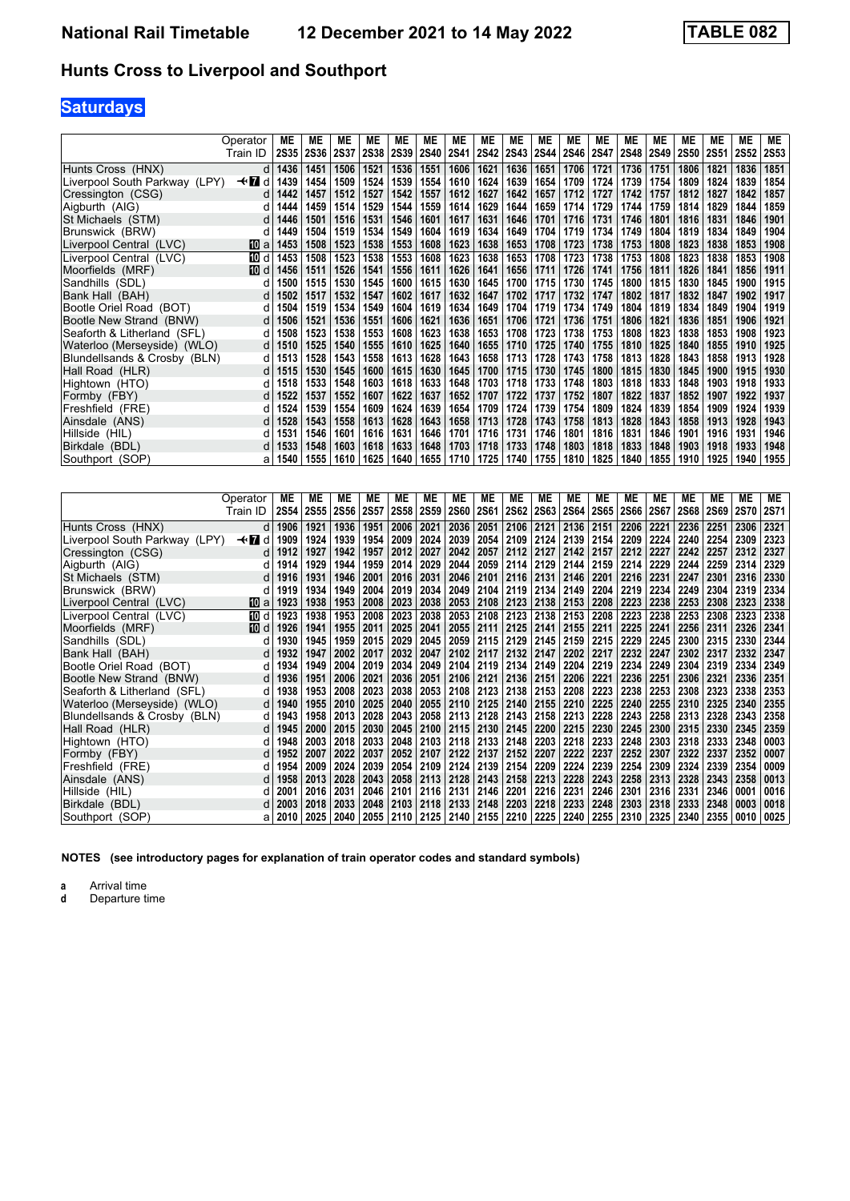# **Saturdays**

|                               | Operator | МE          | МE          | МE          | МE          | МE          | МE          | МE          | ME          | ME          | MЕ          | МE          | МE          | ME          | МE          | МE          | ME          | ME          | ME          |
|-------------------------------|----------|-------------|-------------|-------------|-------------|-------------|-------------|-------------|-------------|-------------|-------------|-------------|-------------|-------------|-------------|-------------|-------------|-------------|-------------|
|                               | Train ID | <b>2S35</b> | <b>2S36</b> | <b>2S37</b> | <b>2S38</b> | <b>2S39</b> | <b>2S40</b> | <b>2S41</b> | <b>2S42</b> | <b>2S43</b> | <b>2S44</b> | <b>2S46</b> | <b>2S47</b> | <b>2S48</b> | <b>2S49</b> | <b>2S50</b> | <b>2S51</b> | <b>2S52</b> | <b>2S53</b> |
| Hunts Cross (HNX)             | d        | 1436        | 1451        | 1506        | 1521        | 1536        | 1551        | 1606        | 1621        | 1636        | 1651        | 1706        | 1721        | 1736        | 1751        | 1806        | 1821        | 1836        | 1851        |
| Liverpool South Parkway (LPY) | —trid    | 1439        | 1454        | 1509        | 1524        | 1539        | 1554        | 1610        | 1624        | 1639        | 1654        | 1709        | 1724        | 1739        | 1754        | 1809        | 1824        | 1839        | 1854        |
| Cressington (CSG)             | d        | 1442        | 1457        | 1512        | 1527        | 1542        | 1557        | 1612        | 1627        | 1642        | 1657        | 1712        | 1727        | 1742        | 1757        | 1812        | 1827        | 1842        | 1857        |
| Aigburth (AIG)                |          | 1444        | 1459        | 1514        | 1529        | 1544        | 1559        | 1614        | 1629        | 1644        | 1659        | 1714        | 1729        | 1744        | 1759        | 1814        | 1829        | 1844        | 1859        |
| St Michaels (STM)             | d        | 1446        | 1501        | 1516        | 1531        | 1546        | 1601        | 1617        | 1631        | 1646        | 1701        | 1716        | 1731        | 1746        | 1801        | 1816        | 1831        | 1846        | 1901        |
| Brunswick (BRW)               | d        | 1449        | 1504        | 1519        | 1534        | 1549        | 1604        | 1619        | 1634        | 1649        | 1704        | 1719        | 1734        | 1749        | 1804        | 1819        | 1834        | 1849        | 1904        |
| Liverpool Central (LVC)       | 10 a     | 1453        | 1508        | 1523        | 1538        | 1553        | 1608        | 1623        | 1638        | 1653        | 1708        | 1723        | 1738        | 1753        | 1808        | 1823        | 1838        | 1853        | 1908        |
| Liverpool Central (LVC)       | 10 d     | 1453        | 1508        | 1523        | 1538        | 1553        | 1608        | 1623        | 1638        | 1653        | 1708        | 1723        | 1738        | 1753        | 1808        | 1823        | 1838        | 1853        | 1908        |
| Moorfields (MRF)              | 10 d     | 1456        | 1511        | 1526        | 1541        | 1556        | 1611        | 1626        | 1641        | 1656        | 1711        | 1726        | 1741        | 1756        | 1811        | 1826        | 1841        | 1856        | 1911        |
| Sandhills (SDL)               |          | 1500        | 1515        | 1530        | 1545        | 1600        | 1615        | 1630        | 1645        | 1700        | 1715        | 1730        | 1745        | 1800        | 1815        | 1830        | 1845        | 1900        | 1915        |
| Bank Hall (BAH)               | d        | 1502        | 1517        | 1532        | 1547        | 1602        | 1617        | 1632        | 1647        | 1702        | 1717        | 1732        | 1747        | 1802        | 1817        | 1832        | 1847        | 1902        | 1917        |
| Bootle Oriel Road (BOT)       | d        | 1504        | 1519        | 1534        | 1549        | 1604        | 1619        | 1634        | 1649        | 1704        | 1719        | 1734        | 1749        | 1804        | 1819        | 1834        | 1849        | 1904        | 1919        |
| Bootle New Strand (BNW)       | d        | 1506        | 1521        | 1536        | 1551        | 1606        | 1621        | 1636        | 1651        | 1706        | 1721        | 1736        | 1751        | 1806        | 1821        | 1836        | 1851        | 1906        | 1921        |
| Seaforth & Litherland (SFL)   | d        | 1508        | 1523        | 1538        | 1553        | 1608        | 1623        | 1638        | 1653        | 1708        | 1723        | 1738        | 1753        | 1808        | 1823        | 1838        | 1853        | 1908        | 1923        |
| Waterloo (Merseyside) (WLO)   | d        | 1510        | 1525        | 1540        | 1555        | 1610        | 1625        | 1640        | 1655        | 1710        | 1725        | 1740        | 1755        | 1810        | 1825        | 1840        | 1855        | 1910        | 1925        |
| Blundellsands & Crosby (BLN)  | d        | 1513        | 1528        | 1543        | 1558        | 1613        | 1628        | 1643        | 1658        | 1713        | 1728        | 1743        | 1758        | 1813        | 1828        | 1843        | 1858        | 1913        | 1928        |
| Hall Road (HLR)               | d        | 1515        | 1530        | 1545        | 1600        | 1615        | 1630        | 1645        | 1700        | 1715        | 1730        | 1745        | 1800        | 1815        | 1830        | 1845        | 1900        | 1915        | 1930        |
| Hightown (HTO)                |          | 1518        | 1533        | 1548        | 1603        | 1618        | 1633        | 1648        | 1703        | 1718        | 1733        | 1748        | 1803        | 1818        | 1833        | 1848        | 1903        | 1918        | 1933        |
| Formby (FBY)                  |          | 1522        | 1537        | 1552        | 1607        | 1622        | 1637        | 1652        | 1707        | 1722        | 1737        | 1752        | 1807        | 1822        | 1837        | 1852        | 1907        | 1922        | 1937        |
| Freshfield (FRE)              | d        | 1524        | 1539        | 1554        | 1609        | 1624        | 1639        | 1654        | 1709        | 1724        | 1739        | 1754        | 1809        | 1824        | 1839        | 1854        | 1909        | 1924        | 1939        |
| Ainsdale (ANS)                |          | 1528        | 1543        | 1558        | 1613        | 1628        | 1643        | 1658        | 1713        | 1728        | 1743        | 1758        | 1813        | 1828        | 1843        | 1858        | 1913        | 1928        | 1943        |
| Hillside (HIL)                |          | 1531        | 1546        | 1601        | 1616        | 1631        | 1646        | 1701        | 1716        | 1731        | 1746        | 1801        | 1816        | 1831        | 1846        | 1901        | 1916        | 1931        | 1946        |
| Birkdale (BDL)                |          | 1533        | 1548        | 1603        | 1618        | 1633        | 1648        | 1703        | 1718        | 1733        | 1748        | 1803        | 1818        | 1833        | 1848        | 1903        | 1918        | 1933        | 1948        |
| Southport (SOP)               | a        | 1540        | 1555        | 1610        | 1625        | 1640        | 1655        | 1710        | 1725        | 1740        | 1755        | 1810        | 1825        | 1840        | 1855        | 1910        | 1925        | 1940        | 1955        |

|                               | Operator | МE   | МE        | МE          | МE          | МE          | МE          | ME          | MЕ             | МE          | MЕ          | ME          | МE          | МE          | ME          | МE          | <b>ME</b>   | <b>ME</b>   | МE          |
|-------------------------------|----------|------|-----------|-------------|-------------|-------------|-------------|-------------|----------------|-------------|-------------|-------------|-------------|-------------|-------------|-------------|-------------|-------------|-------------|
|                               | Train ID |      | 2S54 2S55 | <b>2S56</b> | <b>2S57</b> | <b>2S58</b> | <b>2S59</b> | <b>2S60</b> | 2S61           | <b>2S62</b> | <b>2S63</b> | <b>2S64</b> | <b>2S65</b> | <b>2S66</b> | <b>2S67</b> | <b>2S68</b> | <b>2S69</b> | <b>2S70</b> | <b>2S71</b> |
| Hunts Cross (HNX)             | d        | 1906 | 1921      | 1936        | 1951        | 2006        | 2021        | 2036        | 2051           | 2106        | 2121        | 2136        | 2151        | 2206        | 2221        | 2236        | 2251        | 2306        | 2321        |
| Liverpool South Parkway (LPY) | —trid    | 1909 | 1924      | 1939        | 1954        | 2009        | 2024        | 2039        | 2054           | 2109        | 2124        | 2139        | 2154        | 2209        | 2224        | 2240        | 2254        | 2309        | 2323        |
| Cressington (CSG)             | d        | 1912 | 1927      | 1942        | 1957        | 2012        | 2027        | 2042        | 2057           | 2112        | 2127        | 2142        | 2157        | 2212        | 2227        | 2242        | 2257        | 2312        | 2327        |
| Aigburth (AIG)                | d        | 1914 | 1929      | 1944        | 1959        | 2014        | 2029        | 2044        | 2059           | 2114        | 2129        | 2144        | 2159        | 2214        | 2229        | 2244        | 2259        | 2314        | 2329        |
| St Michaels (STM)             | d.       | 1916 | 1931      | 1946        | 2001        | 2016        | 2031        | 2046        | 2101           | 2116 2131   |             | 2146        | 2201        | 2216        | 2231        | 2247        | 2301        | 2316        | 2330        |
| Brunswick (BRW)               | d        | 1919 | 1934      | 1949        | 2004        | 2019        | 2034        | 2049        | 2104           | 2119        | 2134        | 2149        | 2204        | 2219        | 2234        | 2249        | 2304        | 2319        | 2334        |
| Liverpool Central (LVC)       | Юa       | 1923 | 1938      | 1953        | 2008        | 2023        | 2038        | 2053        | 2108           | 2123        | 2138        | 2153        | 2208        | 2223        | 2238        | 2253        | 2308        | 2323        | 2338        |
| Liverpool Central (LVC)       | 10 d     | 1923 | 1938      | 1953        | 2008        | 2023        | 2038        | 2053        | 2108           | 2123        | 2138        | 2153        | 2208        | 2223        | 2238        | 2253        | 2308        | 2323        | 2338        |
| Moorfields (MRF)              | 10 d     | 1926 | 1941      | 1955        | 2011        | 2025        | 2041        | 2055        | 2111           | 2125        | 2141        | 2155        | 2211        | 2225        | 2241        | 2256        | 2311        | 2326        | 2341        |
| Sandhills (SDL)               | d        | 1930 | 1945      | 1959        | 2015        | 2029        | 2045        | 2059        | 2115           | 2129        | 2145        | 2159        | 2215        | 2229        | 2245        | 2300        | 2315        | 2330        | 2344        |
| Bank Hall (BAH)               | d        | 1932 | 1947      | 2002        | 2017        | 2032        | 2047        | 2102        | 2117           | 2132        | 2147        | 2202        | 2217        | 2232        | 2247        | 2302        | 2317        | 2332        | 2347        |
| Bootle Oriel Road (BOT)       | d        | 1934 | 1949      | 2004        | 2019        | 2034        | 2049        | 2104        | 2119           | 2134        | 2149        | 2204        | 2219        | 2234        | 2249        | 2304        | 2319        | 2334        | 2349        |
| Bootle New Strand (BNW)       | d        | 1936 | 1951      | 2006        | 2021        | 2036        | 2051        | 2106        | 2121           | 2136        | 2151        | 2206        | 2221        | 2236        | 2251        | 2306        | 2321        | 2336        | 2351        |
| Seaforth & Litherland (SFL)   | d        | 1938 | 1953      | 2008        | 2023        | 2038        | 2053        | 2108        | 2123           | 2138        | 2153        | 2208        | 2223        | 2238        | 2253        | 2308        | 2323        | 2338        | 2353        |
| Waterloo (Merseyside) (WLO)   | d        | 1940 | 1955      | 2010        | 2025        | 2040        | 2055        | 2110        | $ 2125\rangle$ | 2140        | 2155        | 2210        | 2225        | 2240        | 2255        | 2310        | 2325        | 2340        | 2355        |
| Blundellsands & Crosby (BLN)  | d        | 1943 | 1958      | 2013        | 2028        | 2043        | 2058        | 2113        | 2128           | 2143        | 2158        | 2213        | 2228        | 2243        | 2258        | 2313        | 2328        | 2343        | 2358        |
| Hall Road (HLR)               | d        | 1945 | 2000      | 2015        | 2030        | 2045        | 2100        | 2115        | 2130           | 2145        | 2200        | 2215        | 2230        | 2245        | 2300        | 2315        | 2330        | 2345        | 2359        |
| Hightown (HTO)                |          | 1948 | 2003      | 2018        | 2033        | 2048        | 2103        | 2118        | 2133           | 2148        | 2203        | 2218        | 2233        | 2248        | 2303        | 2318        | 2333        | 2348        | 0003        |
| Formby (FBY)                  | d        | 1952 | 2007      | 2022        | 2037        | 2052        | 2107        | 2122        | 2137           | 2152        | 2207        | 2222        | 2237        | 2252        | 2307        | 2322        | 2337        | 2352        | 0007        |
| Freshfield (FRE)              | d        | 1954 | 2009      | 2024        | 2039        | 2054        | 2109        |             | 2124 2139      | 2154        | 2209        | 2224        | 2239        | 2254        | 2309        | 2324        | 2339        | 2354        | 0009        |
| Ainsdale (ANS)                |          | 1958 | 2013      | 2028        | 2043        | 2058        | 2113        | 2128        | 2143           | 2158        | 2213        | 2228        | 2243        | 2258        | 2313        | 2328        | 2343        | 2358        | 0013        |
| Hillside (HIL)                |          | 2001 | 2016      | 2031        | 2046        | 2101        | 2116        | 2131        | 2146           | 2201        | 2216        | 2231        | 2246        | 2301        | 2316        | 2331        | 2346        | 0001        | 0016        |
| Birkdale (BDL)                | d        | 2003 | 2018      | 2033        | 2048        | 2103        | 2118        | 2133        | 2148           | 2203        | 2218        | 2233        | 2248        | 2303        | 2318        | 2333        | 2348        | 0003        | 0018        |
| Southport (SOP)               | a        | 2010 | 2025      | 2040        | 2055        | 2110        | 2125        | 2140        | 2155           | 2210        | 2225        | 2240        | 2255        | 2310        | 2325        | 2340        | 2355        | 0010        | 0025        |

**NOTES (see introductory pages for explanation of train operator codes and standard symbols)**

**a** Arrival time<br>**d** Departure time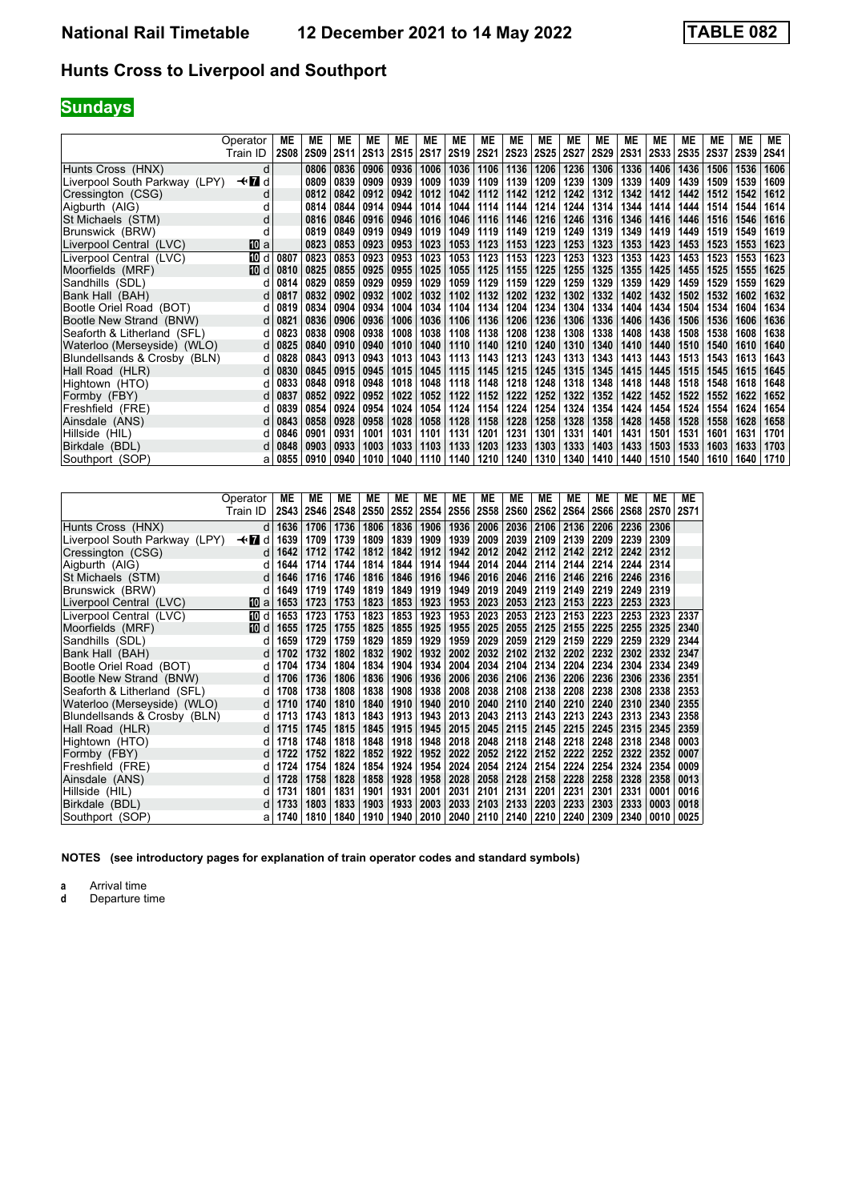# **Sundays**

|                               | Operator | МE          | <b>ME</b>   | МE          | МE          | МE   | ME          | МE          | MЕ          | МE          | MЕ          | ME          | MЕ          | MЕ          | MЕ          | МE          | <b>ME</b>   | <b>ME</b>   | ME          |
|-------------------------------|----------|-------------|-------------|-------------|-------------|------|-------------|-------------|-------------|-------------|-------------|-------------|-------------|-------------|-------------|-------------|-------------|-------------|-------------|
|                               | Train ID | <b>2S08</b> | <b>2S09</b> | <b>2S11</b> | <b>2S13</b> | 2S15 | <b>2S17</b> | <b>2S19</b> | <b>2S21</b> | <b>2S23</b> | <b>2S25</b> | <b>2S27</b> | <b>2S29</b> | <b>2S31</b> | <b>2S33</b> | <b>2S35</b> | <b>2S37</b> | <b>2S39</b> | <b>2S41</b> |
| Hunts Cross (HNX)             | d        |             | 0806        | 0836        | 0906        | 0936 | 1006        | 1036        | 1106        | 1136        | 1206        | 1236        | 1306        | 1336        | 1406        | 1436        | 1506        | 1536        | 1606        |
| Liverpool South Parkway (LPY) | —trid    |             | 0809        | 0839        | 0909        | 0939 | 1009        | 1039        | 1109        | 1139        | 1209        | 1239        | 1309        | 1339        | 1409        | 1439        | 1509        | 1539        | 1609        |
| Cressington (CSG)             | d        |             | 0812        | 0842        | 0912        | 0942 | 1012        | 1042        | 1112        | 1142        | 1212        | 1242        | 1312        | 1342        | 1412        | 1442        | 1512        | 1542        | 1612        |
| Aigburth (AIG)                |          |             | 0814        | 0844        | 0914        | 0944 | 1014        | 1044        | 1114        | 1144        | 1214        | 1244        | 1314        | 1344        | 1414        | 1444        | 1514        | 1544        | 1614        |
| St Michaels (STM)             | d        |             | 0816        | 0846        | 0916        | 0946 | 1016        | 1046        | 1116        | 1146        | 1216        | 1246        | 1316        | 1346        | 1416        | 1446        | 1516        | 1546        | 1616        |
| Brunswick (BRW)               | d        |             | 0819        | 0849        | 0919        | 0949 | 1019        | 1049        | 1119        | 1149        | 1219        | 1249        | 1319        | 1349        | 1419        | 1449        | 1519        | 1549        | 1619        |
| Liverpool Central (LVC)       | 10 a     |             | 0823        | 0853        | 0923        | 0953 | 1023        | 1053        | 1123        | 1153        | 1223        | 1253        | 1323        | 1353        | 1423        | 1453        | 1523        | 1553        | 1623        |
| Liverpool Central (LVC)       | 10 d     | 0807        | 0823        | 0853        | 0923        | 0953 | 1023        | 1053        | 1123        | 1153        | 1223        | 1253        | 1323        | 1353        | 1423        | 1453        | 1523        | 1553        | 1623        |
| Moorfields (MRF)              | [10] d   | 0810        | 0825        | 0855        | 0925        | 0955 | 1025        | 1055        | 1125        | 1155        | 1225        | 1255        | 1325        | 1355        | 1425        | 1455        | 1525        | 1555        | 1625        |
| Sandhills (SDL)               | d        | 0814        | 0829        | 0859        | 0929        | 0959 | 1029        | 1059        | 1129        | 1159        | 1229        | 1259        | 1329        | 1359        | 1429        | 1459        | 1529        | 1559        | 1629        |
| Bank Hall (BAH)               | d        | 0817        | 0832        | 0902        | 0932        | 1002 | 1032        | 1102        | 1132        | 1202        | 1232        | 1302        | 1332        | 1402        | 1432        | 1502        | 1532        | 1602        | 1632        |
| Bootle Oriel Road (BOT)       | d        | 0819        | 0834        | 0904        | 0934        | 1004 | 1034        | 1104        | 1134        | 1204        | 1234        | 1304        | 1334        | 1404        | 1434        | 1504        | 1534        | 1604        | 1634        |
| Bootle New Strand (BNW)       | d        | 0821        | 0836        | 0906        | 0936        | 1006 | 1036        | 1106        | 1136        | 1206        | 1236        | 1306        | 1336        | 1406        | 1436        | 1506        | 1536        | 1606        | 1636        |
| Seaforth & Litherland (SFL)   | d        | 0823        | 0838        | 0908        | 0938        | 1008 | 1038        | 1108        | 1138        | 1208        | 1238        | 1308        | 1338        | 1408        | 1438        | 1508        | 1538        | 1608        | 1638        |
| Waterloo (Merseyside) (WLO)   | d        | 0825        | 0840        | 0910        | 0940        | 1010 | 1040        | 1110        | 1140        | 1210        | 1240        | 1310        | 1340        | 1410        | 1440        | 1510        | 1540        | 1610        | 1640        |
| Blundellsands & Crosby (BLN)  | d        | 0828        | 0843        | 0913        | 0943        | 1013 | 1043        | 1113        | 1143        | 1213        | 1243        | 1313        | 1343        | 1413        | 1443        | 1513        | 1543        | 1613        | 1643        |
| Hall Road (HLR)               | d        | 0830        | 0845        | 0915        | 0945        | 1015 | 1045        | 1115        | 1145        | 1215        | 1245        | 1315        | 1345        | 1415        | 1445        | 1515        | 1545        | 1615        | 1645        |
| Hightown (HTO)                |          | 0833        | 0848        | 0918        | 0948        | 1018 | 1048        | 1118        | 1148        | 1218        | 1248        | 1318        | 1348        | 1418        | 1448        | 1518        | 1548        | 1618        | 1648        |
| Formby (FBY)                  | d        | 0837        | 0852        | 0922        | 0952        | 1022 | 1052        | 1122        | 1152        | 1222        | 1252        | 1322        | 1352        | 1422        | 1452        | 1522        | 1552        | 1622        | 1652        |
| Freshfield (FRE)              | d        | 0839        | 0854        | 0924        | 0954        | 1024 | 1054        | 1124        | 1154        | 1224        | 1254        | 1324        | 1354        | 1424        | 1454        | 1524        | 1554        | 1624        | 1654        |
| Ainsdale (ANS)                |          | 0843        | 0858        | 0928        | 0958        | 1028 | 1058        | 1128        | 1158        | 1228        | 1258        | 1328        | 1358        | 1428        | 1458        | 1528        | 1558        | 1628        | 1658        |
| Hillside (HIL)                |          | 0846        | 0901        | 0931        | 1001        | 1031 | 1101        | 1131        | 1201        | 1231        | 1301        | 1331        | 1401        | 1431        | 1501        | 1531        | 1601        | 1631        | 1701        |
| Birkdale (BDL)                |          | 0848        | 0903        | 0933        | 1003        | 1033 | 1103        | 1133        | 1203        | 1233        | 1303        | 1333        | 1403        | 1433        | 1503        | 1533        | 1603        | 1633        | 1703        |
| Southport (SOP)               | а        | 0855        | 0910        | 0940        | 1010        | 1040 | 1110        | 1140        | 1210        | 1240        | 1310        | 1340        | 1410        | 1440        | 1510        | 1540        | 1610        | 1640        | 1710        |

|                               | Operator     | МE          | MЕ          | MЕ   | <b>ME</b> | МE          | ME          | <b>ME</b> | MЕ          | ME          | МE   | MЕ          | МE          | МE   | MЕ          | <b>ME</b>   |
|-------------------------------|--------------|-------------|-------------|------|-----------|-------------|-------------|-----------|-------------|-------------|------|-------------|-------------|------|-------------|-------------|
|                               | Train ID     | <b>2S43</b> | <b>2S46</b> | 2S48 | 2S50      | <b>2S52</b> | <b>2S54</b> | 2S56      | <b>2S58</b> | <b>2S60</b> | 2S62 | <b>2S64</b> | <b>2S66</b> | 2S68 | <b>2S70</b> | <b>2S71</b> |
| Hunts Cross (HNX)             | d            | 1636        | 1706        | 1736 | 1806      | 1836        | 1906        | 1936      | 2006        | 2036        | 2106 | 2136        | 2206        | 2236 | 2306        |             |
| Liverpool South Parkway (LPY) | $\star$<br>d | 1639        | 1709        | 1739 | 1809      | 1839        | 1909        | 1939      | 2009        | 2039        | 2109 | 2139        | 2209        | 2239 | 2309        |             |
| Cressington (CSG)             | d            | 1642        | 1712        | 1742 | 1812      | 1842        | 1912        | 1942      | 2012        | 2042        | 2112 | 2142        | 2212        | 2242 | 2312        |             |
| Aigburth (AIG)                | d            | 1644        | 1714        | 1744 | 1814      | 1844        | 1914        | 1944      | 2014        | 2044        | 2114 | 2144        | 2214        | 2244 | 2314        |             |
| St Michaels (STM)             | d            | 1646        | 1716        | 1746 | 1816      | 1846        | 1916        | 1946      | 2016        | 2046        | 2116 | 2146        | 2216        | 2246 | 2316        |             |
| Brunswick (BRW)               | d            | 1649        | 1719        | 1749 | 1819      | 1849        | 1919        | 1949      | 2019        | 2049        | 2119 | 2149        | 2219        | 2249 | 2319        |             |
| Liverpool Central (LVC)       | 10 a         | 1653        | 1723        | 1753 | 1823      | 1853        | 1923        | 1953      | 2023        | 2053        | 2123 | 2153        | 2223        | 2253 | 2323        |             |
| Liverpool Central (LVC)       | [[] d        | 1653        | 1723        | 1753 | 1823      | 1853        | 1923        | 1953      | 2023        | 2053        | 2123 | 2153        | 2223        | 2253 | 2323        | 2337        |
| Moorfields (MRF)              | [10] d       | 1655        | 1725        | 1755 | 1825      | 1855        | 1925        | 1955      | 2025        | 2055        | 2125 | 2155        | 2225        | 2255 | 2325        | 2340        |
| Sandhills (SDL)               | O            | 1659        | 1729        | 1759 | 1829      | 1859        | 1929        | 1959      | 2029        | 2059        | 2129 | 2159        | 2229        | 2259 | 2329        | 2344        |
| Bank Hall (BAH)               | d            | 1702        | 1732        | 1802 | 1832      | 1902        | 1932        | 2002      | 2032        | 2102        | 2132 | 2202        | 2232        | 2302 | 2332        | 2347        |
| Bootle Oriel Road (BOT)       | d            | 1704        | 1734        | 1804 | 1834      | 1904        | 1934        | 2004      | 2034        | 2104        | 2134 | 2204        | 2234        | 2304 | 2334        | 2349        |
| Bootle New Strand (BNW)       | d            | 1706        | 1736        | 1806 | 1836      | 1906        | 1936        | 2006      | 2036        | 2106        | 2136 | 2206        | 2236        | 2306 | 2336        | 2351        |
| Seaforth & Litherland (SFL)   | d            | 1708        | 1738        | 1808 | 1838      | 1908        | 1938        | 2008      | 2038        | 2108        | 2138 | 2208        | 2238        | 2308 | 2338        | 2353        |
| Waterloo (Merseyside) (WLO)   | d            | 1710        | 1740        | 1810 | 1840      | 1910        | 1940        | 2010      | 2040        | 2110        | 2140 | 2210        | 2240        | 2310 | 2340        | 2355        |
| Blundellsands & Crosby (BLN)  | d            | 1713        | 1743        | 1813 | 1843      | 1913        | 1943        | 2013      | 2043        | 2113        | 2143 | 2213        | 2243        | 2313 | 2343        | 2358        |
| Hall Road (HLR)               | C            | 1715        | 1745        | 1815 | 1845      | 1915        | 1945        | 2015      | 2045        | 2115        | 2145 | 2215        | 2245        | 2315 | 2345        | 2359        |
| Hightown (HTO)                | d            | 1718        | 1748        | 1818 | 1848      | 1918        | 1948        | 2018      | 2048        | 2118        | 2148 | 2218        | 2248        | 2318 | 2348        | 0003        |
| Formby (FBY)                  | d            | 1722        | 1752        | 1822 | 1852      | 1922        | 1952        | 2022      | 2052        | 2122        | 2152 | 2222        | 2252        | 2322 | 2352        | 0007        |
| Freshfield (FRE)              | d            | 1724        | 1754        | 1824 | 1854      | 1924        | 1954        | 2024      | 2054        | 2124        | 2154 | 2224        | 2254        | 2324 | 2354        | 0009        |
| Ainsdale (ANS)                | d            | 1728        | 1758        | 1828 | 1858      | 1928        | 1958        | 2028      | 2058        | 2128        | 2158 | 2228        | 2258        | 2328 | 2358        | 0013        |
| Hillside (HIL)                | O            | 1731        | 1801        | 1831 | 1901      | 1931        | 2001        | 2031      | 2101        | 2131        | 2201 | 2231        | 2301        | 2331 | 0001        | 0016        |
| Birkdale (BDL)                | d            | 1733        | 1803        | 1833 | 1903      | 1933        | 2003        | 2033      | 2103        | 2133        | 2203 | 2233        | 2303        | 2333 | 0003        | 0018        |
| Southport (SOP)               | a            | 1740        | 1810        | 1840 | 1910      | 1940        | 2010        | 2040      | 2110        | 2140        | 2210 | 2240        | 2309        | 2340 | 0010        | 0025        |

**NOTES (see introductory pages for explanation of train operator codes and standard symbols)**

**a** Arrival time<br>**d** Departure time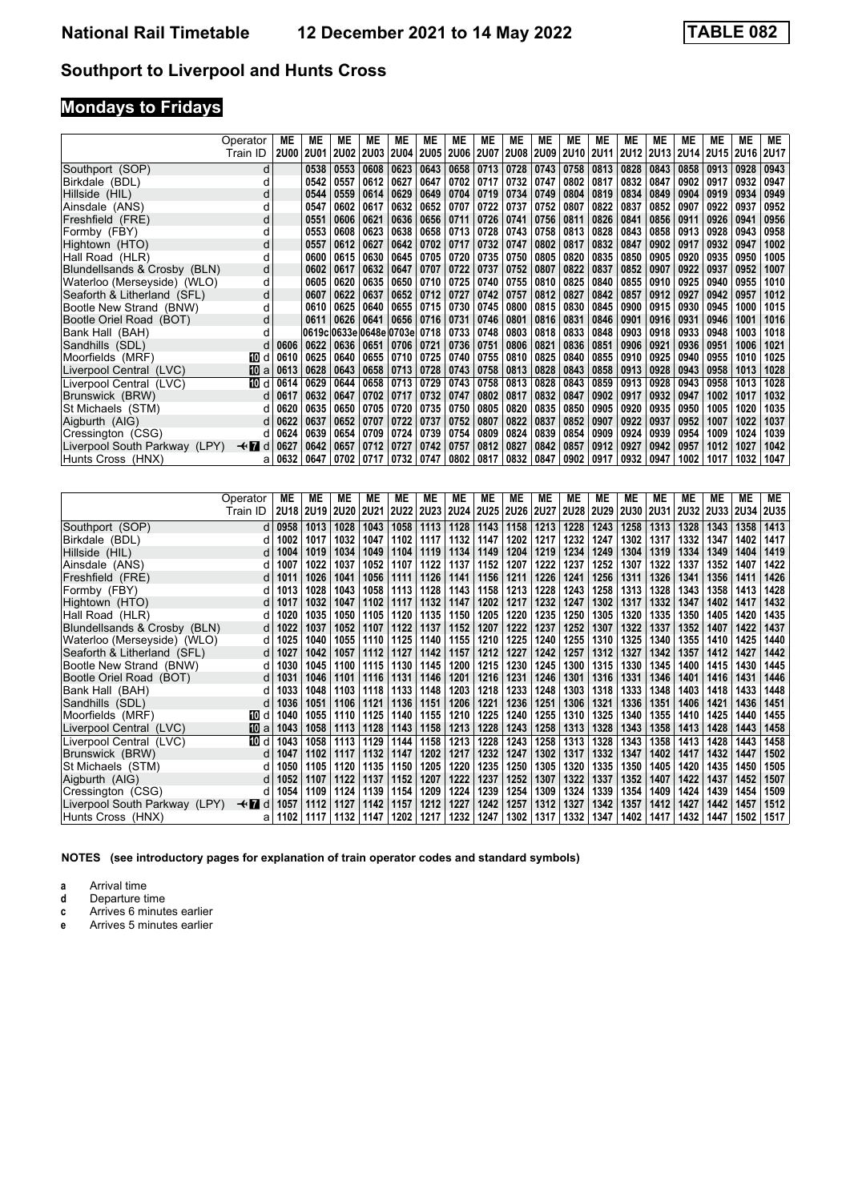# **Mondays to Fridays**

|                               | Operator | МE          | ME          | MЕ          | ME                           | ME          | МE             | ME   | MЕ   | МE   | MЕ             | МE               | MЕ   | МE   | МE          | MЕ          | ME          | МE   | ME          |
|-------------------------------|----------|-------------|-------------|-------------|------------------------------|-------------|----------------|------|------|------|----------------|------------------|------|------|-------------|-------------|-------------|------|-------------|
|                               | Train ID | <b>2U00</b> | <b>2U01</b> | <b>2U02</b> | <b>2U03</b>                  | <b>2U04</b> | 2U05           | 2U06 |      |      | 2U07 2U08 2U09 | <b>2U10 2U11</b> |      | 2U12 | <b>2U13</b> | <b>2U14</b> | <b>2U15</b> | 2U16 | <b>2U17</b> |
| Southport (SOP)               | d        |             | 0538        | 0553        | 0608                         | 0623        | 0643           | 0658 | 0713 | 0728 | 0743           | 0758             | 0813 | 0828 | 0843        | 0858        | 0913        | 0928 | 0943        |
| Birkdale (BDL)                | d        |             | 0542        | 0557        | 0612                         | 0627        | 0647           | 0702 | 0717 | 0732 | 0747           | 0802             | 0817 | 0832 | 0847        | 0902        | 0917        | 0932 | 0947        |
| Hillside (HIL)                | d        |             | 0544        | 0559        | 0614                         | 0629        | 0649           | 0704 | 0719 | 0734 | 0749           | 0804             | 0819 | 0834 | 0849        | 0904        | 0919        | 0934 | 0949        |
| Ainsdale (ANS)                | d        |             | 0547        | 0602        | 0617                         | 0632        | 0652           | 0707 | 0722 | 0737 | 0752           | 0807             | 0822 | 0837 | 0852        | 0907        | 0922        | 0937 | 0952        |
| Freshfield (FRE)              | d        |             | 0551        | 0606        | 0621                         | 0636        | 0656           | 0711 | 0726 | 0741 | 0756           | 0811             | 0826 | 0841 | 0856        | 0911        | 0926        | 0941 | 0956        |
| Formby (FBY)                  | d        |             | 0553        | 0608        | 0623                         | 0638        | 0658           | 0713 | 0728 | 0743 | 0758           | 0813             | 0828 | 0843 | 0858        | 0913        | 0928        | 0943 | 0958        |
| Hightown (HTO)                | d        |             | 0557        | 0612        | 0627                         | 0642        | 0702           | 0717 | 0732 | 0747 | 0802           | 0817             | 0832 | 0847 | 0902        | 0917        | 0932        | 0947 | 1002        |
| Hall Road (HLR)               | d        |             | 0600        | 0615        | 0630                         | 0645        | 0705           | 0720 | 0735 | 0750 | 0805           | 0820             | 0835 | 0850 | 0905        | 0920        | 0935        | 0950 | 1005        |
| Blundellsands & Crosby (BLN)  | d        |             | 0602        | 0617        | 0632                         | 0647        | 0707           | 0722 | 0737 | 0752 | 0807           | 0822             | 0837 | 0852 | 0907        | 0922        | 0937        | 0952 | 1007        |
| Waterloo (Merseyside) (WLO)   | d        |             | 0605        | 0620        | 0635                         |             | 0650 0710      | 0725 | 0740 | 0755 | 0810           | 0825             | 0840 | 0855 | 0910        | 0925        | 0940        | 0955 | 1010        |
| Seaforth & Litherland (SFL)   | d        |             | 0607        | 0622        | 0637                         | 0652        | $ 0712\rangle$ | 0727 | 0742 | 0757 | 0812           | 0827             | 0842 | 0857 | 0912        | 0927        | 0942        | 0957 | 1012        |
| Bootle New Strand (BNW)       | d        |             | 0610        | 0625        | 0640                         |             | 0655 0715      | 0730 | 0745 | 0800 | 0815           | 0830             | 0845 | 0900 | 0915        | 0930        | 0945        | 1000 | 1015        |
| Bootle Oriel Road (BOT)       | d        |             | 0611        | 0626        | 0641                         |             | 0656   0716    | 0731 | 0746 | 0801 | 0816           | 0831             | 0846 | 0901 | 0916        | 0931        | 0946        | 1001 | 1016        |
| Bank Hall (BAH)               | d        |             |             |             | 0619c 0633e 0648e 0703e 0718 |             |                | 0733 | 0748 | 0803 | 0818           | 0833             | 0848 | 0903 | 0918        | 0933        | 0948        | 1003 | 1018        |
| Sandhills (SDL)               | d        | 0606        | 0622        | 0636        | 0651                         | 0706   0721 |                | 0736 | 0751 | 0806 | 0821           | 0836             | 0851 | 0906 | 0921        | 0936        | 0951        | 1006 | 1021        |
| Moorfields (MRF)              | 10 d     | 0610        | 0625        | 0640        | 0655                         | 0710        | 0725           | 0740 | 0755 | 0810 | 0825           | 0840             | 0855 | 0910 | 0925        | 0940        | 0955        | 1010 | 1025        |
| Liverpool Central (LVC)       | 10 a     | 0613        | 0628        | 0643        | 0658                         | 0713        | 0728           | 0743 | 0758 | 0813 | 0828           | 0843             | 0858 | 0913 | 0928        | 0943        | 0958        | 1013 | 1028        |
| Liverpool Central (LVC)       | 100 d    | 0614        | 0629        | 0644        | 0658                         | 0713        | 0729           | 0743 | 0758 | 0813 | 0828           | 0843             | 0859 | 0913 | 0928        | 0943        | 0958        | 1013 | 1028        |
| Brunswick (BRW)               | d        | 0617        | 0632        | 0647        | 0702                         | 0717        | 0732           | 0747 | 0802 | 0817 | 0832           | 0847             | 0902 | 0917 | 0932        | 0947        | 1002        | 1017 | 1032        |
| St Michaels (STM)             | d        | 0620        | 0635        | 0650        | 0705                         | 0720        | 0735           | 0750 | 0805 | 0820 | 0835           | 0850             | 0905 | 0920 | 0935        | 0950        | 1005        | 1020 | 1035        |
| Aigburth (AIG)                | d        | 0622        | 0637        | 0652        | 0707                         | 0722        | 0737           | 0752 | 0807 | 0822 | 0837           | 0852             | 0907 | 0922 | 0937        | 0952        | 1007        | 1022 | 1037        |
| Cressington (CSG)             | d        | 0624        | 0639        | 0654        | 0709                         | 0724        | 0739           | 0754 | 0809 | 0824 | 0839           | 0854             | 0909 | 0924 | 0939        | 0954        | 1009        | 1024 | 1039        |
| Liverpool South Parkway (LPY) | —trid    | 0627        | 0642        | 0657        | 0712                         | 0727        | 0742           | 0757 | 0812 | 0827 | 0842           | 0857             | 0912 | 0927 | 0942        | 0957        | 1012        | 1027 | 1042        |
| Hunts Cross (HNX)             | a        | 0632        | 0647        | 0702        | 0717                         | 0732        | 0747           | 0802 | 0817 | 0832 | 0847           | 0902             | 0917 | 0932 | 0947        | 1002        | 1017        | 1032 | 1047        |

|                               | Operator | МE       | МE   | МE          | <b>ME</b>   | МE   | МE   | МE          | ME          | ME          | МE   | ME          | МE          | ME          | МE          | ME          | <b>ME</b> | <b>ME</b> | ME          |
|-------------------------------|----------|----------|------|-------------|-------------|------|------|-------------|-------------|-------------|------|-------------|-------------|-------------|-------------|-------------|-----------|-----------|-------------|
|                               | Train ID | 2U18     | 2U19 | <b>2U20</b> | <b>2U21</b> | 2U22 | 2U23 | <b>2U24</b> | <b>2U25</b> | <b>2U26</b> | 2U27 | <b>2U28</b> | <b>2U29</b> | <b>2U30</b> | <b>2U31</b> | <b>2U32</b> | 2U33 2U34 |           | <b>2U35</b> |
| Southport (SOP)               |          | d   0958 | 1013 | 1028        | 1043        | 1058 | 1113 | 1128        | 1143        | 1158        | 1213 | 1228        | 1243        | 1258        | 1313        | 1328        | 1343      | 1358      | 1413        |
| Birkdale (BDL)                | d        | 1002     | 1017 | 1032        | 1047        | 1102 | 1117 | 1132        | 1147        | 1202        | 1217 | 1232        | 1247        | 1302        | 1317        | 1332        | 1347      | 1402      | 1417        |
| Hillside (HIL)                | d        | 1004     | 1019 | 1034        | 1049        | 1104 | 1119 | 1134        | 1149        | 1204        | 1219 | 1234        | 1249        | 1304        | 1319        | 1334        | 1349      | 1404      | 1419        |
| Ainsdale (ANS)                | d        | 1007     | 1022 | 1037        | 1052        | 1107 | 1122 | 1137        | 1152        | 1207        | 1222 | 1237        | 1252        | 1307        | 1322        | 1337        | 1352      | 1407      | 1422        |
| Freshfield (FRE)              | d l      | 1011     | 1026 | 1041        | 1056        | 1111 | 1126 | 1141        | 1156        | 1211        | 1226 | 1241        | 1256        | 1311        | 1326        | 1341        | 1356      | 1411      | 1426        |
| Formby (FBY)                  |          | 1013     | 1028 | 1043        | 1058        | 1113 | 1128 | 1143        | 1158        | 1213        | 1228 | 1243        | 1258        | 1313        | 1328        | 1343        | 1358      | 1413      | 1428        |
| Hightown (HTO)                | d        | 1017     | 1032 | 1047        | 1102        | 1117 | 1132 | 1147        | 1202        | 1217        | 1232 | 1247        | 1302        | 1317        | 1332        | 1347        | 1402      | 1417      | 1432        |
| Hall Road (HLR)               | d        | 1020     | 1035 | 1050        | 1105        | 1120 | 1135 | 1150        | 1205        | 1220        | 1235 | 1250        | 1305        | 1320        | 1335        | 1350        | 1405      | 1420      | 1435        |
| Blundellsands & Crosby (BLN)  | d l      | 1022     | 1037 | 1052        | 1107        | 1122 | 1137 | 1152        | 1207        | 1222        | 1237 | 1252        | 1307        | 1322        | 1337        | 1352        | 1407      | 1422      | 1437        |
| Waterloo (Merseyside) (WLO)   | d        | 1025     | 1040 | 1055        | 1110        | 1125 | 1140 | 1155        | 1210        | 1225        | 1240 | 1255        | 1310        | 1325        | 1340        | 1355        | 1410      | 1425      | 1440        |
| Seaforth & Litherland (SFL)   | d        | 1027     | 1042 | 1057        | 1112        | 1127 | 1142 | 1157        | 1212        | 1227        | 1242 | 1257        | 1312        | 1327        | 1342        | 1357        | 1412      | 1427      | 1442        |
| Bootle New Strand (BNW)       | d        | 1030     | 1045 | 1100        | 1115        | 1130 | 1145 | 1200        | 1215        | 1230        | 1245 | 1300        | 1315        | 1330        | 1345        | 1400        | 1415      | 1430      | 1445        |
| Bootle Oriel Road (BOT)       | d        | 1031     | 1046 | 1101        | 1116        | 1131 | 1146 | 1201        | 1216        | 1231        | 1246 | 1301        | 1316        | 1331        | 1346        | 1401        | 1416      | 1431      | 1446        |
| Bank Hall (BAH)               | d        | 1033     | 1048 | 1103        | 1118        | 1133 | 1148 | 1203        | 1218        | 1233        | 1248 | 1303        | 1318        | 1333        | 1348        | 1403        | 1418      | 1433      | 1448        |
| Sandhills (SDL)               |          | 1036     | 1051 | 1106        | 1121        | 1136 | 1151 | 1206        | 1221        | 1236        | 1251 | 1306        | 1321        | 1336        | 1351        | 1406        | 1421      | 1436      | 1451        |
| Moorfields (MRF)              | 100 d    | 1040     | 1055 | 1110        | 1125        | 1140 | 1155 | 1210        | 1225        | 1240        | 1255 | 1310        | 1325        | 1340        | 1355        | 1410        | 1425      | 1440      | 1455        |
| Liverpool Central (LVC)       | 10 a     | 1043     | 1058 | 1113        | 1128        | 1143 | 1158 | 1213        | 1228        | 1243        | 1258 | 1313        | 1328        | 1343        | 1358        | 1413        | 1428      | 1443      | 1458        |
| Liverpool Central (LVC)       | 而 d      | 1043     | 1058 | 1113        | 1129        | 1144 | 1158 | 1213        | 1228        | 1243        | 1258 | 1313        | 1328        | 1343        | 1358        | 1413        | 1428      | 1443      | 1458        |
| Brunswick (BRW)               | d        | 1047     | 1102 | 1117        | 1132        | 1147 | 1202 | 1217        | 1232        | 1247        | 1302 | 1317        | 1332        | 1347        | 1402        | 1417        | 1432      | 1447      | 1502        |
| St Michaels (STM)             |          | 1050     | 1105 | 1120        | 1135        | 1150 | 1205 | 1220        | 1235        | 1250        | 1305 | 1320        | 1335        | 1350        | 1405        | 1420        | 1435      | 1450      | 1505        |
| Aigburth (AIG)                |          | 1052     | 1107 | 1122        | 1137        | 1152 | 1207 | 1222        | 1237        | 1252        | 1307 | 1322        | 1337        | 1352        | 1407        | 1422        | 1437      | 1452      | 1507        |
| Cressington (CSG)             | d        | 1054     | 1109 | 1124        | 1139        | 1154 | 1209 | 1224        | 1239        | 1254        | 1309 | 1324        | 1339        | 1354        | 1409        | 1424        | 1439      | 1454      | 1509        |
| Liverpool South Parkway (LPY) | —trid    | 1057     | 1112 | 1127        | 1142        | 1157 | 1212 | 1227        | 1242        | 1257        | 1312 | 1327        | 1342        | 1357        | 1412        | 1427        | 1442      | 1457      | 1512        |
| Hunts Cross (HNX)             | a        | 1102     | 1117 | 1132        | 1147        | 1202 | 1217 | 1232        | 1247        | 1302        | 1317 | 1332        | 1347        | 1402        | 1417        | 1432        | 1447      | 1502      | 1517        |

**NOTES (see introductory pages for explanation of train operator codes and standard symbols)**

**a** Arrival time<br>**d** Departure time

- **d** Departure time<br>**c** Arrives 6 minute
- **c** Arrives 6 minutes earlier
- **e** Arrives 5 minutes earlier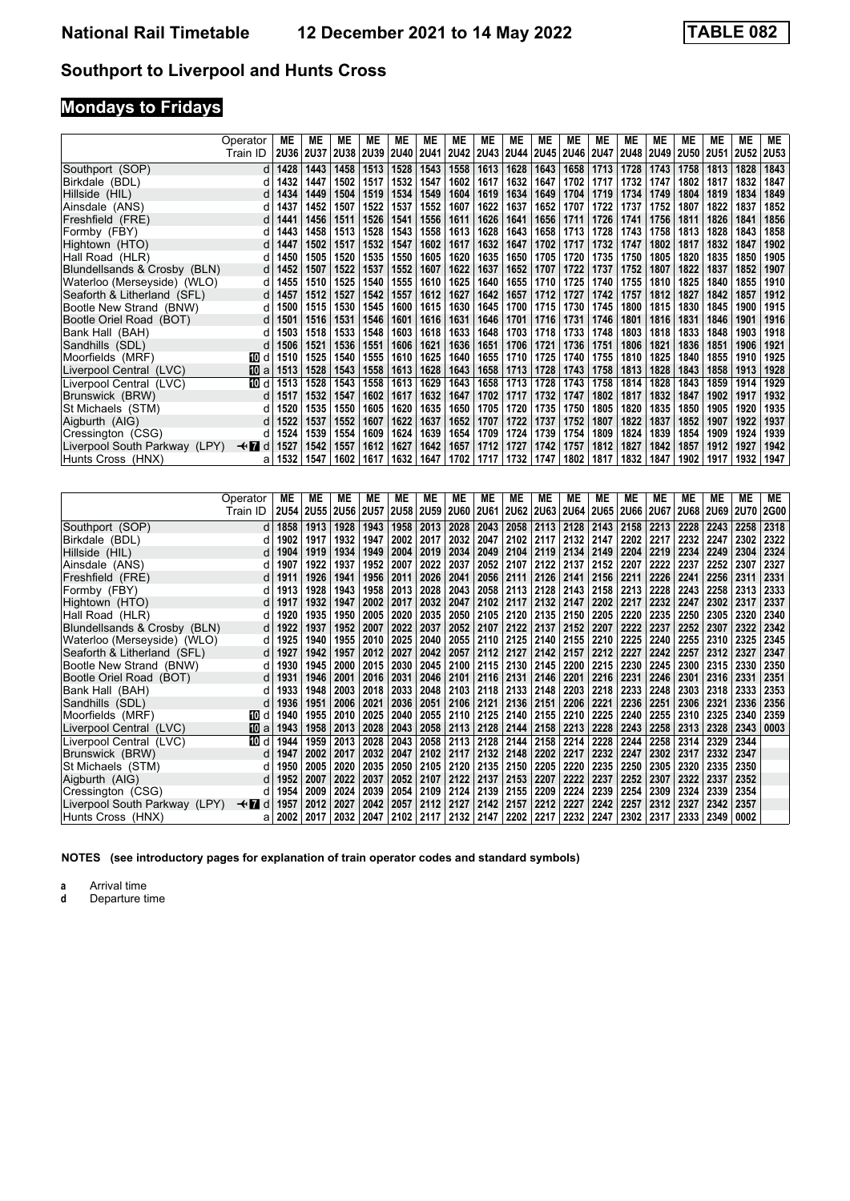# **Mondays to Fridays**

|                               | Operator       | МE          | ME          | MЕ          | ME          | ME        | МE   | ME   | MЕ   | ME   | MЕ                        | МE          | MЕ          | МE          | МE          | MЕ          | ME          | МE          | ME     |
|-------------------------------|----------------|-------------|-------------|-------------|-------------|-----------|------|------|------|------|---------------------------|-------------|-------------|-------------|-------------|-------------|-------------|-------------|--------|
|                               | Train ID       | <b>2U36</b> | <b>2U37</b> | <b>2U38</b> | <b>2U39</b> | 2U40 2U41 |      |      |      |      | 2U42   2U43   2U44   2U45 | <b>2U46</b> | <b>2U47</b> | <b>2U48</b> | <b>2U49</b> | <b>2U50</b> | <b>2U51</b> | <b>2U52</b> | 2U53 l |
| Southport (SOP)               | d              | 1428        | 1443        | 1458        | 1513        | 1528      | 1543 | 1558 | 1613 | 1628 | 1643                      | 1658        | 1713        | 1728        | 1743        | 1758        | 1813        | 1828        | 1843   |
| Birkdale (BDL)                | d              | 1432        | 1447        | 1502        | 1517        | 1532      | 1547 | 1602 | 1617 | 1632 | 1647                      | 1702        | 1717        | 1732        | 1747        | 1802        | 1817        | 1832        | 1847   |
| Hillside (HIL)                | d              | 1434        | 1449        | 1504        | 1519        | 1534      | 1549 | 1604 | 1619 | 1634 | 1649                      | 1704        | 1719        | 1734        | 1749        | 1804        | 1819        | 1834        | 1849   |
| Ainsdale (ANS)                | d              | 1437        | 1452        | 1507        | 1522        | 1537      | 1552 | 1607 | 1622 | 1637 | 1652                      | 1707        | 1722        | 1737        | 1752        | 1807        | 1822        | 1837        | 1852   |
| Freshfield (FRE)              | d              | 1441        | 1456        | 1511        | 1526        | 1541      | 1556 | 1611 | 1626 | 1641 | 1656                      | 1711        | 1726        | 1741        | 1756        | 1811        | 1826        | 1841        | 1856   |
| Formby (FBY)                  | d              | 1443        | 1458        | 1513        | 1528        | 1543      | 1558 | 1613 | 1628 | 1643 | 1658                      | 1713        | 1728        | 1743        | 1758        | 1813        | 1828        | 1843        | 1858   |
| Hightown (HTO)                | d              | 1447        | 1502        | 1517        | 1532        | 1547      | 1602 | 1617 | 1632 | 1647 | 1702                      | 1717        | 1732        | 1747        | 1802        | 1817        | 1832        | 1847        | 1902   |
| Hall Road (HLR)               | d              | 1450        | 1505        | 1520        | 1535        | 1550      | 1605 | 1620 | 1635 | 1650 | 1705                      | 1720        | 1735        | 1750        | 1805        | 1820        | 1835        | 1850        | 1905   |
| Blundellsands & Crosby (BLN)  | d              | 1452        | 1507        | 1522        | 1537        | 1552      | 1607 | 1622 | 1637 | 1652 | 1707                      | 1722        | 1737        | 1752        | 1807        | 1822        | 1837        | 1852        | 1907   |
| Waterloo (Merseyside) (WLO)   | d              | 1455        | 1510        | 1525        | 1540        | 1555      | 1610 | 1625 | 1640 | 1655 | 1710                      | 1725        | 1740        | 1755        | 1810        | 1825        | 1840        | 1855        | 1910   |
| Seaforth & Litherland (SFL)   | d              | 1457        | 1512        | 1527        | 1542        | 1557      | 1612 | 1627 | 1642 | 1657 | 1712                      | 1727        | 1742        | 1757        | 1812        | 1827        | 1842        | 1857        | 1912   |
| Bootle New Strand (BNW)       | d              | 1500        | 1515        | 1530        | 1545        | 1600      | 1615 | 1630 | 1645 | 1700 | 1715                      | 1730        | 1745        | 1800        | 1815        | 1830        | 1845        | 1900        | 1915   |
| Bootle Oriel Road (BOT)       | d              | 1501        | 1516        | 1531        | 1546        | 1601      | 1616 | 1631 | 1646 | 1701 | 1716                      | 1731        | 1746        | 1801        | 1816        | 1831        | 1846        | 1901        | 1916   |
| Bank Hall (BAH)               | d              | 1503        | 1518        | 1533        | 1548        | 1603      | 1618 | 1633 | 1648 | 1703 | 1718                      | 1733        | 1748        | 1803        | 1818        | 1833        | 1848        | 1903        | 1918   |
| Sandhills (SDL)               | d              | 1506        | 1521        | 1536        | 1551        | 1606      | 1621 | 1636 | 1651 | 1706 | 1721                      | 1736        | 1751        | 1806        | 1821        | 1836        | 1851        | 1906        | 1921   |
| Moorfields (MRF)              | 10 d           | 1510        | 1525        | 1540        | 1555        | 1610      | 1625 | 1640 | 1655 | 1710 | 1725                      | 1740        | 1755        | 1810        | 1825        | 1840        | 1855        | 1910        | 1925   |
| Liverpool Central (LVC)       | 10 a           | 1513        | 1528        | 1543        | 1558        | 1613      | 1628 | 1643 | 1658 | 1713 | 1728                      | 1743        | 1758        | 1813        | 1828        | 1843        | 1858        | 1913        | 1928   |
| Liverpool Central (LVC)       | 100 d          | 1513        | 1528        | 1543        | 1558        | 1613      | 1629 | 1643 | 1658 | 1713 | 1728                      | 1743        | 1758        | 1814        | 1828        | 1843        | 1859        | 1914        | 1929   |
| Brunswick (BRW)               | d              | 1517        | 1532        | 1547        | 1602        | 1617      | 1632 | 1647 | 1702 | 1717 | 1732                      | 1747        | 1802        | 1817        | 1832        | 1847        | 1902        | 1917        | 1932   |
| St Michaels (STM)             | d              | 1520        | 1535        | 1550        | 1605        | 1620      | 1635 | 1650 | 1705 | 1720 | 1735                      | 1750        | 1805        | 1820        | 1835        | 1850        | 1905        | 1920        | 1935   |
| Aigburth (AIG)                | d              | 1522        | 1537        | 1552        | 1607        | 1622      | 1637 | 1652 | 1707 | 1722 | 1737                      | 1752        | 1807        | 1822        | 1837        | 1852        | 1907        | 1922        | 1937   |
| Cressington (CSG)             | d              | 1524        | 1539        | 1554        | 1609        | 1624      | 1639 | 1654 | 1709 | 1724 | 1739                      | 1754        | 1809        | 1824        | 1839        | 1854        | 1909        | 1924        | 1939   |
| Liverpool South Parkway (LPY) | $\star$ n<br>d | 1527        | 1542        | 1557        | 1612        | 1627      | 1642 | 1657 | 1712 | 1727 | 1742                      | 1757        | 1812        | 1827        | 1842        | 1857        | 1912        | 1927        | 1942   |
| Hunts Cross (HNX)             | a              | 1532        | 1547        | 1602        | 1617        | 1632      | 1647 | 1702 | 1717 | 1732 | 1747                      | 1802        | 1817        | 1832        | 1847        | 1902        | 1917        | 1932        | 1947   |

|                               | Operator | МE        | ME   | МE          | МE          | МE        | МE   | ME        | MЕ          | <b>ME</b>   | ME                 | МE   | MЕ   | MЕ   | МE          | МE          | МE          | <b>ME</b>   | ME          |
|-------------------------------|----------|-----------|------|-------------|-------------|-----------|------|-----------|-------------|-------------|--------------------|------|------|------|-------------|-------------|-------------|-------------|-------------|
|                               | Train ID | 2U54 2U55 |      | <b>2U56</b> | <b>2U57</b> | 2U58 2U59 |      | 2U60      | <b>2U61</b> | <b>2U62</b> | 2U63               | 2U64 | 2U65 | 2U66 | <b>2U67</b> | <b>2U68</b> | <b>2U69</b> | <b>2U70</b> | <b>2G00</b> |
| Southport (SOP)               | d        | 1858      | 1913 | 1928        | 1943        | 1958      | 2013 | 2028      | 2043        |             | 2058 2113          | 2128 | 2143 | 2158 | 2213        | 2228        | 2243        | 2258        | 2318        |
| Birkdale (BDL)                | d        | 1902      | 1917 | 1932        | 1947        | 2002      | 2017 | 2032      | 2047        | 2102        | 2117               | 2132 | 2147 | 2202 | 2217        | 2232        | 2247        | 2302        | 2322        |
| Hillside (HIL)                | d        | 1904      | 1919 | 1934        | 1949        | 2004      | 2019 | 2034      | 2049        | 2104        | 2119               | 2134 | 2149 | 2204 | 2219        | 2234        | 2249        | 2304        | 2324        |
| Ainsdale (ANS)                | d        | 1907      | 1922 | 1937        | 1952        | 2007      | 2022 | 2037      | 2052        | 2107        | 2122               | 2137 | 2152 | 2207 | 2222        | 2237        | 2252        | 2307        | 2327        |
| Freshfield (FRE)              | d        | 1911      | 1926 | 1941        | 1956        | 2011      | 2026 | 2041      | 2056        |             | 2111   2126   2141 |      | 2156 | 2211 | 2226        | 2241        | 2256        | 2311        | 2331        |
| Formby (FBY)                  |          | 1913      | 1928 | 1943        | 1958        | 2013      | 2028 | 2043      | 2058        | 2113        | 2128               | 2143 | 2158 | 2213 | 2228        | 2243        | 2258        | 2313        | 2333        |
| Hightown (HTO)                | d        | 1917      | 1932 | 1947        | 2002        | 2017      | 2032 | 2047      | 2102        | 2117        | 2132               | 2147 | 2202 | 2217 | 2232        | 2247        | 2302        | 2317        | 2337        |
| Hall Road (HLR)               | d        | 1920      | 1935 | 1950        | 2005        | 2020      | 2035 | 2050      | 2105        |             | 2120 2135          | 2150 | 2205 | 2220 | 2235        | 2250        | 2305        | 2320        | 2340        |
| Blundellsands & Crosby (BLN)  | d        | 1922      | 1937 | 1952        | 2007        | 2022      | 2037 | 2052      | 2107        | 2122        | 2137               | 2152 | 2207 | 2222 | 2237        | 2252        | 2307        | 2322        | 2342        |
| Waterloo (Merseyside) (WLO)   | d        | 1925      | 1940 | 1955        | 2010        | 2025      | 2040 | 2055      | 2110        | 2125        | 2140               | 2155 | 2210 | 2225 | 2240        | 2255        | 2310        | 2325        | 2345        |
| Seaforth & Litherland (SFL)   | d        | 1927      | 1942 | 1957        | 2012        | 2027      | 2042 | 2057      | 2112        | 2127        | 2142               | 2157 | 2212 | 2227 | 2242        | 2257        | 2312        | 2327        | 2347        |
| Bootle New Strand (BNW)       | d        | 1930      | 1945 | 2000        | 2015        | 2030      | 2045 | 2100      | 2115        |             | 2130 2145          | 2200 | 2215 | 2230 | 2245        | 2300        | 2315        | 2330        | 2350        |
| Bootle Oriel Road (BOT)       | d        | 1931      | 1946 | 2001        | 2016        | 2031      | 2046 | 2101      | 2116        | 2131        | 2146               | 2201 | 2216 | 2231 | 2246        | 2301        | 2316        | 2331        | 2351        |
| Bank Hall (BAH)               | d        | 1933      | 1948 | 2003        | 2018        | 2033      | 2048 | 2103      | 2118        |             | 2133 2148          | 2203 | 2218 | 2233 | 2248        | 2303        | 2318        | 2333        | 2353        |
| Sandhills (SDL)               | d        | 1936      | 1951 | 2006        | 2021        | 2036      | 2051 | 2106      | 2121        | 2136        | 2151               | 2206 | 2221 | 2236 | 2251        | 2306        | 2321        | 2336        | 2356        |
| Moorfields (MRF)              | 100 d    | 1940      | 1955 | 2010        | 2025        | 2040      | 2055 | 2110      | 2125        |             | 2140 2155          | 2210 | 2225 | 2240 | 2255        | 2310        | 2325        | 2340        | 2359        |
| Liverpool Central (LVC)       | 10 a     | 1943      | 1958 | 2013        | 2028        | 2043      | 2058 | 2113      | 2128        | 2144        | 2158               | 2213 | 2228 | 2243 | 2258        | 2313        | 2328        | 2343        | 0003        |
| Liverpool Central (LVC)       | 10 d     | 1944      | 1959 | 2013        | 2028        | 2043      | 2058 | 2113      | 2128        | 2144        | 2158               | 2214 | 2228 | 2244 | 2258        | 2314        | 2329        | 2344        |             |
| Brunswick (BRW)               | d        | 1947      | 2002 | 2017        | 2032        | 2047      | 2102 | 2117      | 2132        | 2148        | 2202               | 2217 | 2232 | 2247 | 2302        | 2317        | 2332        | 2347        |             |
| St Michaels (STM)             | d        | 1950      | 2005 | 2020        | 2035        | 2050      | 2105 | 2120      | 2135        | 2150        | 2205               | 2220 | 2235 | 2250 | 2305        | 2320        | 2335        | 2350        |             |
| Aigburth (AIG)                |          | 1952      | 2007 | 2022        | 2037        | 2052      | 2107 | 2122      | 2137        | 2153        | 2207               | 2222 | 2237 | 2252 | 2307        | 2322        | 2337        | 2352        |             |
| Cressington (CSG)             | d        | 1954      | 2009 | 2024        | 2039        | 2054      | 2109 | 2124      | 2139        | 2155        | 2209               | 2224 | 2239 | 2254 | 2309        | 2324        | 2339        | 2354        |             |
| Liverpool South Parkway (LPY) | —trid    | 1957      | 2012 | 2027        | 2042        | 2057      | 2112 | 2127      | 2142        | 2157        | 2212               | 2227 | 2242 | 2257 | 2312        | 2327        | 2342        | 2357        |             |
| Hunts Cross  (HNX)            | a        | 2002      | 2017 | 2032        | 2047        | 2102      | 2117 | 2132 2147 |             | 2202        | 2217               | 2232 | 2247 | 2302 | 2317        | 2333        | 2349        | 0002        |             |

**NOTES (see introductory pages for explanation of train operator codes and standard symbols)**

**a** Arrival time<br>**d** Departure time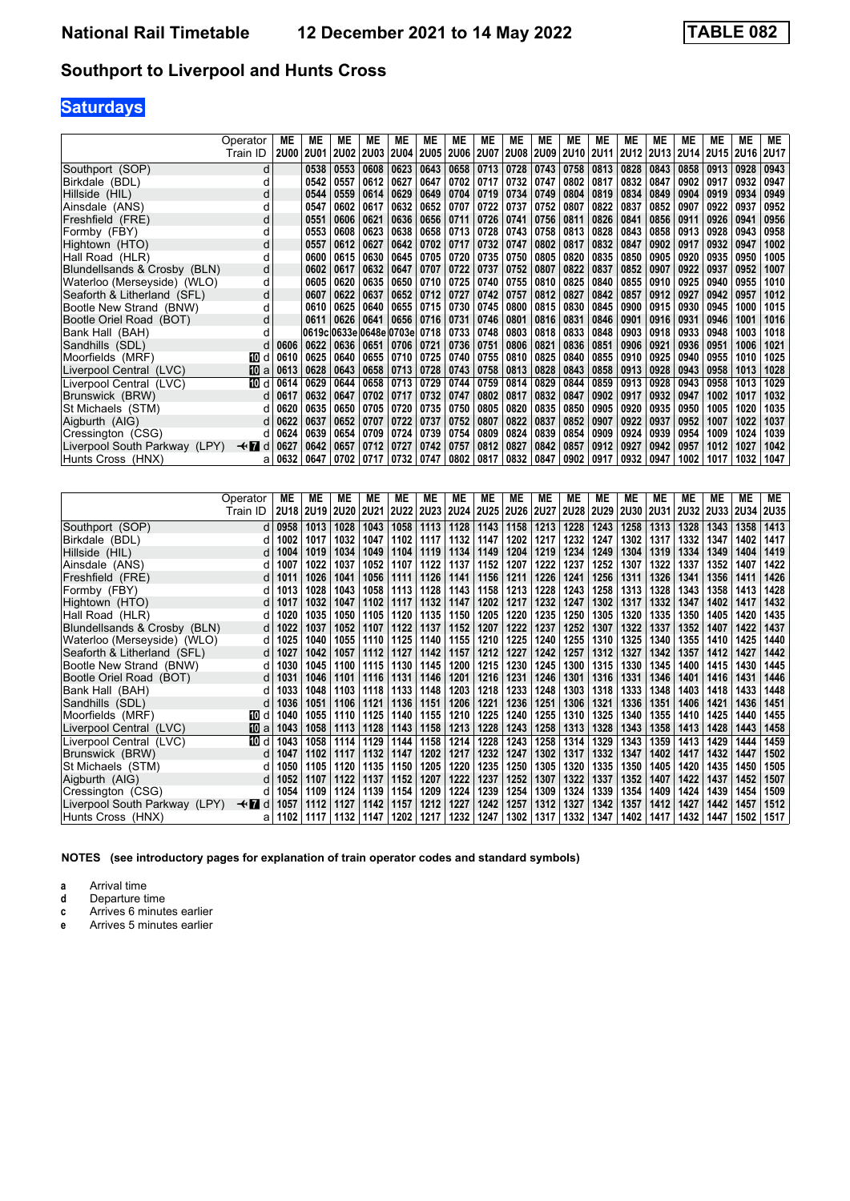# **Saturdays**

|                               | Operator    | МE          | ME          | МE                           | МE                 | МE   | МE   | ME        | ME   | ME   | МE               | ME        | ME   | ME          | MЕ   | ME   | ME        | <b>ME</b> | МE          |
|-------------------------------|-------------|-------------|-------------|------------------------------|--------------------|------|------|-----------|------|------|------------------|-----------|------|-------------|------|------|-----------|-----------|-------------|
|                               | Train ID    | <b>2U00</b> | <b>2U01</b> |                              | 2002   2003   2004 |      | 2U05 | 2U06 2U07 |      |      | <b>2U08 2U09</b> | 2U10 2U11 |      | 2U12   2U13 |      | 2U14 | 2U15 2U16 |           | <b>2U17</b> |
| Southport (SOP)               | d           |             | 0538        | 0553                         | 0608               | 0623 | 0643 | 0658      | 0713 | 0728 | 0743             | 0758      | 0813 | 0828        | 0843 | 0858 | 0913      | 0928      | 0943        |
| Birkdale (BDL)                | d           |             | 0542        | 0557                         | 0612               | 0627 | 0647 | 0702      | 0717 | 0732 | 0747             | 0802      | 0817 | 0832        | 0847 | 0902 | 0917      | 0932      | 0947        |
| Hillside (HIL)                | d           |             | 0544        | 0559                         | 0614               | 0629 | 0649 | 0704      | 0719 | 0734 | 0749             | 0804      | 0819 | 0834        | 0849 | 0904 | 0919      | 0934      | 0949        |
| Ainsdale (ANS)                | O           |             | 0547        | 0602                         | 0617               | 0632 | 0652 | 0707      | 0722 | 0737 | 0752             | 0807      | 0822 | 0837        | 0852 | 0907 | 0922      | 0937      | 0952        |
| Freshfield (FRE)              | d           |             | 0551        | 0606                         | 0621               | 0636 | 0656 | 0711      | 0726 | 0741 | 0756             | 0811      | 0826 | 0841        | 0856 | 0911 | 0926      | 0941      | 0956        |
| Formby (FBY)                  | d           |             | 0553        | 0608                         | 0623               | 0638 | 0658 | 0713      | 0728 | 0743 | 0758             | 0813      | 0828 | 0843        | 0858 | 0913 | 0928      | 0943      | 0958        |
| Hightown (HTO)                | d           |             | 0557        | 0612                         | 0627               | 0642 | 0702 | 0717      | 0732 | 0747 | 0802             | 0817      | 0832 | 0847        | 0902 | 0917 | 0932      | 0947      | 1002        |
| Hall Road (HLR)               | d           |             | 0600        | 0615                         | 0630               | 0645 | 0705 | 0720      | 0735 | 0750 | 0805             | 0820      | 0835 | 0850        | 0905 | 0920 | 0935      | 0950      | 1005        |
| Blundellsands & Crosby (BLN)  | d           |             | 0602        | 0617                         | 0632               | 0647 | 0707 | 0722      | 0737 | 0752 | 0807             | 0822      | 0837 | 0852        | 0907 | 0922 | 0937      | 0952      | 1007        |
| Waterloo (Merseyside) (WLO)   | d           |             | 0605        | 0620                         | 0635               | 0650 | 0710 | 0725      | 0740 | 0755 | 0810             | 0825      | 0840 | 0855        | 0910 | 0925 | 0940      | 0955      | 1010        |
| Seaforth & Litherland (SFL)   | d           |             | 0607        | 0622                         | 0637               | 0652 | 0712 | 0727      | 0742 | 0757 | 0812             | 0827      | 0842 | 0857        | 0912 | 0927 | 0942      | 0957      | 1012        |
| Bootle New Strand (BNW)       | d           |             | 0610        | 0625                         | 0640               | 0655 | 0715 | 0730      | 0745 | 0800 | 0815             | 0830      | 0845 | 0900        | 0915 | 0930 | 0945      | 1000      | 1015        |
| Bootle Oriel Road (BOT)       | d           |             | 0611        | 0626                         | 0641               | 0656 | 0716 | 0731      | 0746 | 0801 | 0816             | 0831      | 0846 | 0901        | 0916 | 0931 | 0946      | 1001      | 1016        |
| Bank Hall (BAH)               | d           |             |             | 0619c 0633e 0648e 0703e 0718 |                    |      |      | 0733      | 0748 | 0803 | 0818             | 0833      | 0848 | 0903        | 0918 | 0933 | 0948      | 1003      | 1018        |
| Sandhills (SDL)               |             | 0606        | 0622        | 0636                         | $ 0651\rangle$     | 0706 | 0721 | 0736      | 0751 | 0806 | 0821             | 0836      | 0851 | 0906        | 0921 | 0936 | 0951      | 1006      | 1021        |
| Moorfields (MRF)              | 10 d        | 0610        | 0625        | 0640                         | 0655               | 0710 | 0725 | 0740      | 0755 | 0810 | 0825             | 0840      | 0855 | 0910        | 0925 | 0940 | 0955      | 1010      | 1025        |
| Liverpool Central (LVC)       | 10 a        | 0613        | 0628        | 0643                         | 0658               | 0713 | 0728 | 0743      | 0758 | 0813 | 0828             | 0843      | 0858 | 0913        | 0928 | 0943 | 0958      | 1013      | 1028        |
| Liverpool Central (LVC)       | 10 d        | 0614        | 0629        | 0644                         | 0658               | 0713 | 0729 | 0744      | 0759 | 0814 | 0829             | 0844      | 0859 | 0913        | 0928 | 0943 | 0958      | 1013      | 1029        |
| Brunswick (BRW)               | d.          | 0617        | 0632        | 0647                         | 0702               | 0717 | 0732 | 0747      | 0802 | 0817 | 0832             | 0847      | 0902 | 0917        | 0932 | 0947 | 1002      | 1017      | 1032        |
| St Michaels (STM)             | d           | 0620        | 0635        | 0650                         | 0705               | 0720 | 0735 | 0750      | 0805 | 0820 | 0835             | 0850      | 0905 | 0920        | 0935 | 0950 | 1005      | 1020      | 1035        |
| Aigburth (AIG)                | d           | 0622        | 0637        | 0652                         | 0707               | 0722 | 0737 | 0752      | 0807 | 0822 | 0837             | 0852      | 0907 | 0922        | 0937 | 0952 | 1007      | 1022      | 1037        |
| Cressington (CSG)             | d.          | 0624        | 0639        | 0654                         | 0709               | 0724 | 0739 | 0754      | 0809 | 0824 | 0839             | 0854      | 0909 | 0924        | 0939 | 0954 | 1009      | 1024      | 1039        |
| Liverpool South Parkway (LPY) | <b>√r</b> d | 0627        | 0642        | 0657                         | 0712               | 0727 | 0742 | 0757      | 0812 | 0827 | 0842             | 0857      | 0912 | 0927        | 0942 | 0957 | 1012      | 1027      | 1042        |
| Hunts Cross  (HNX)            | a           | 0632        | 0647        | 0702                         | 0717               | 0732 | 0747 | 0802      | 0817 | 0832 | 0847             | 0902      | 0917 | 0932        | 0947 | 1002 | 1017      | 1032      | 1047        |

|                               | Operator | МE          | МE          | ME   | ME          | МE   | МE        | МE   | МE          | ME          | МE          | ME          | МE          | МE          | МE   | ME          | МE        | <b>ME</b> | ME   |
|-------------------------------|----------|-------------|-------------|------|-------------|------|-----------|------|-------------|-------------|-------------|-------------|-------------|-------------|------|-------------|-----------|-----------|------|
|                               | Train ID | <b>2U18</b> | <b>2U19</b> | 2U20 | <b>2U21</b> |      | 2U22 2U23 | 2U24 | <b>2U25</b> | <b>2U26</b> | <b>2U27</b> | <b>2U28</b> | <b>2U29</b> | <b>2U30</b> | 2U31 | <b>2U32</b> | 2U33 2U34 |           | 2U35 |
| Southport (SOP)               | dl       | 0958        | 1013        | 1028 | 1043        | 1058 | 1113      | 1128 | 1143        | 1158        | 1213        | 1228        | 1243        | 1258        | 1313 | 1328        | 1343      | 1358      | 1413 |
| Birkdale (BDL)                | d        | 1002        | 1017        | 1032 | 1047        | 1102 | 1117      | 1132 | 1147        | 1202        | 1217        | 1232        | 1247        | 1302        | 1317 | 1332        | 1347      | 1402      | 1417 |
| Hillside (HIL)                | d        | 1004        | 1019        | 1034 | 1049        | 1104 | 1119      | 1134 | 1149        | 1204        | 1219        | 1234        | 1249        | 1304        | 1319 | 1334        | 1349      | 1404      | 1419 |
| Ainsdale (ANS)                | d        | 1007        | 1022        | 1037 | 1052        | 1107 | 1122      | 1137 | 1152        | 1207        | 1222        | 1237        | 1252        | 1307        | 1322 | 1337        | 1352      | 1407      | 1422 |
| Freshfield (FRE)              | d l      | 1011        | 1026        | 1041 | 1056        | 1111 | 1126      | 1141 | 1156        | 1211        | 1226        | 1241        | 1256        | 1311        | 1326 | 1341        | 1356      | 1411      | 1426 |
| Formby (FBY)                  |          | 1013        | 1028        | 1043 | 1058        | 1113 | 1128      | 1143 | 1158        | 1213        | 1228        | 1243        | 1258        | 1313        | 1328 | 1343        | 1358      | 1413      | 1428 |
| Hightown (HTO)                | d l      | 1017        | 1032        | 1047 | 1102        | 1117 | 1132      | 1147 | 1202        | 1217        | 1232        | 1247        | 1302        | 1317        | 1332 | 1347        | 1402      | 1417      | 1432 |
| Hall Road (HLR)               | d        | 1020        | 1035        | 1050 | 1105        | 1120 | 1135      | 1150 | 1205        | 1220        | 1235        | 1250        | 1305        | 1320        | 1335 | 1350        | 1405      | 1420      | 1435 |
| Blundellsands & Crosby (BLN)  | d l      | 1022        | 1037        | 1052 | 1107        | 1122 | 1137      | 1152 | 1207        | 1222        | 1237        | 1252        | 1307        | 1322        | 1337 | 1352        | 1407      | 1422      | 1437 |
| Waterloo (Merseyside) (WLO)   | d        | 1025        | 1040        | 1055 | 1110        | 1125 | 1140      | 1155 | 1210        | 1225        | 1240        | 1255        | 1310        | 1325        | 1340 | 1355        | 1410      | 1425      | 1440 |
| Seaforth & Litherland (SFL)   | d        | 1027        | 1042        | 1057 | 1112        | 1127 | 1142      | 1157 | 1212        | 1227        | 1242        | 1257        | 1312        | 1327        | 1342 | 1357        | 1412      | 1427      | 1442 |
| Bootle New Strand (BNW)       | d        | 1030        | 1045        | 1100 | 1115        | 1130 | 1145      | 1200 | 1215        | 1230        | 1245        | 1300        | 1315        | 1330        | 1345 | 1400        | 1415      | 1430      | 1445 |
| Bootle Oriel Road (BOT)       | dl       | 1031        | 1046        | 1101 | 1116        | 1131 | 1146      | 1201 | 1216        | 1231        | 1246        | 1301        | 1316        | 1331        | 1346 | 1401        | 1416      | 1431      | 1446 |
| Bank Hall (BAH)               | d        | 1033        | 1048        | 1103 | 1118        | 1133 | 1148      | 1203 | 1218        | 1233        | 1248        | 1303        | 1318        | 1333        | 1348 | 1403        | 1418      | 1433      | 1448 |
| Sandhills (SDL)               |          | 1036        | 1051        | 1106 | 1121        | 1136 | 1151      | 1206 | 1221        | 1236        | 1251        | 1306        | 1321        | 1336        | 1351 | 1406        | 1421      | 1436      | 1451 |
| Moorfields (MRF)              | 10 d     | 1040        | 1055        | 1110 | 1125        | 1140 | 1155      | 1210 | 1225        | 1240        | 1255        | 1310        | 1325        | 1340        | 1355 | 1410        | 1425      | 1440      | 1455 |
| Liverpool Central (LVC)       | 10 a     | 1043        | 1058        | 1113 | 1128        | 1143 | 1158      | 1213 | 1228        | 1243        | 1258        | 1313        | 1328        | 1343        | 1358 | 1413        | 1428      | 1443      | 1458 |
| Liverpool Central (LVC)       | 而 d      | 1043        | 1058        | 1114 | 1129        | 1144 | 1158      | 1214 | 1228        | 1243        | 1258        | 1314        | 1329        | 1343        | 1359 | 1413        | 1429      | 1444      | 1459 |
| Brunswick (BRW)               | d l      | 1047        | 1102        | 1117 | 1132        | 1147 | 1202      | 1217 | 1232        | 1247        | 1302        | 1317        | 1332        | 1347        | 1402 | 1417        | 1432      | 1447      | 1502 |
| St Michaels (STM)             |          | 1050        | 1105        | 1120 | 1135        | 1150 | 1205      | 1220 | 1235        | 1250        | 1305        | 1320        | 1335        | 1350        | 1405 | 1420        | 1435      | 1450      | 1505 |
| Aigburth (AIG)                |          | 1052        | 1107        | 1122 | 1137        | 1152 | 1207      | 1222 | 1237        | 1252        | 1307        | 1322        | 1337        | 1352        | 1407 | 1422        | 1437      | 1452      | 1507 |
| Cressington (CSG)             | d        | 1054        | 1109        | 1124 | 1139        | 1154 | 1209      | 1224 | 1239        | 1254        | 1309        | 1324        | 1339        | 1354        | 1409 | 1424        | 1439      | 1454      | 1509 |
| Liverpool South Parkway (LPY) | —trid    | 1057        | 1112        | 1127 | 1142        | 1157 | 1212      | 1227 | 1242        | 1257        | 1312        | 1327        | 1342        | 1357        | 1412 | 1427        | 1442      | 1457      | 1512 |
| Hunts Cross (HNX)             | a        | 1102        | 1117        | 1132 | 1147        | 1202 | 1217      | 1232 | 1247        | 1302        | 1317        | 1332        | 1347        | 1402        | 1417 | 1432        | 1447      | 1502      | 1517 |

**NOTES (see introductory pages for explanation of train operator codes and standard symbols)**

**a** Arrival time<br>**d** Departure time

- **d** Departure time<br>**c** Arrives 6 minute
- **c** Arrives 6 minutes earlier
- **e** Arrives 5 minutes earlier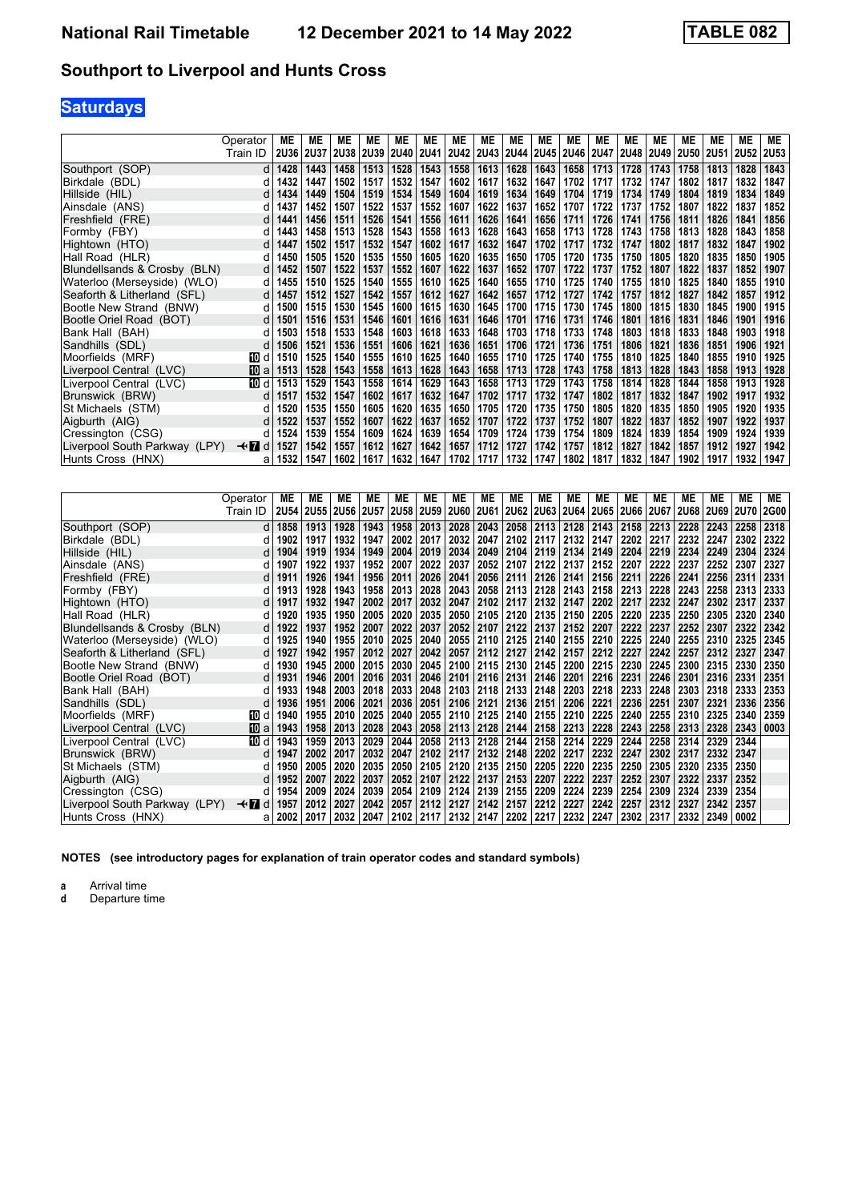# **Saturdays**

|                               | Operator       | МE          | МE          | МE   | МE   | МE   | ME                  | ME   | ME        | ME   | МE        | ME        | МE   | ME   | MЕ          | ME          | ME   | <b>ME</b>   | МE          |
|-------------------------------|----------------|-------------|-------------|------|------|------|---------------------|------|-----------|------|-----------|-----------|------|------|-------------|-------------|------|-------------|-------------|
|                               | Train ID       | <b>2U36</b> | <b>2U37</b> |      |      |      | 2U38 2U39 2U40 2U41 |      | 2U42 2U43 |      | 2U44 2U45 | 2U46 2U47 |      | 2U48 | <b>2U49</b> | <b>2U50</b> | 2U51 | <b>2U52</b> | <b>2U53</b> |
| Southport (SOP)               | d              | 1428        | 1443        | 1458 | 1513 | 1528 | 1543                | 1558 | 1613      | 1628 | 1643      | 1658      | 1713 | 1728 | 1743        | 1758        | 1813 | 1828        | 1843        |
| Birkdale (BDL)                | d              | 1432        | 1447        | 1502 | 1517 | 1532 | 1547                | 1602 | 1617      | 1632 | 1647      | 1702      | 1717 | 1732 | 1747        | 1802        | 1817 | 1832        | 1847        |
| Hillside (HIL)                | d              | 1434        | 1449        | 1504 | 1519 | 1534 | 1549                | 1604 | 1619      | 1634 | 1649      | 1704      | 1719 | 1734 | 1749        | 1804        | 1819 | 1834        | 1849        |
| Ainsdale (ANS)                | d              | 1437        | 1452        | 1507 | 1522 | 1537 | 1552                | 1607 | 1622      | 1637 | 1652      | 1707      | 1722 | 1737 | 1752        | 1807        | 1822 | 1837        | 1852        |
| Freshfield (FRE)              | d              | 1441        | 1456        | 1511 | 1526 | 1541 | 1556                | 1611 | 1626      | 1641 | 1656      | 1711      | 1726 | 1741 | 1756        | 1811        | 1826 | 1841        | 1856        |
| Formby (FBY)                  | d              | 1443        | 1458        | 1513 | 1528 | 1543 | 1558                | 1613 | 1628      | 1643 | 1658      | 1713      | 1728 | 1743 | 1758        | 1813        | 1828 | 1843        | 1858        |
| Hightown (HTO)                | d              | 1447        | 1502        | 1517 | 1532 | 1547 | 1602                | 1617 | 1632      | 1647 | 1702      | 1717      | 1732 | 1747 | 1802        | 1817        | 1832 | 1847        | 1902        |
| Hall Road (HLR)               | d              | 1450        | 1505        | 1520 | 1535 | 1550 | 1605                | 1620 | 1635      | 1650 | 1705      | 1720      | 1735 | 1750 | 1805        | 1820        | 1835 | 1850        | 1905        |
| Blundellsands & Crosby (BLN)  | d              | 1452        | 1507        | 1522 | 1537 | 1552 | 1607                | 1622 | 1637      | 1652 | 1707      | 1722      | 1737 | 1752 | 1807        | 1822        | 1837 | 1852        | 1907        |
| Waterloo (Merseyside) (WLO)   | d              | 1455        | 1510        | 1525 | 1540 | 1555 | 1610                | 1625 | 1640      | 1655 | 1710      | 1725      | 1740 | 1755 | 1810        | 1825        | 1840 | 1855        | 1910        |
| Seaforth & Litherland (SFL)   | d              | 1457        | 1512        | 1527 | 1542 | 1557 | 1612                | 1627 | 1642      | 1657 | 1712      | 1727      | 1742 | 1757 | 1812        | 1827        | 1842 | 1857        | 1912        |
| Bootle New Strand (BNW)       | d              | 1500        | 1515        | 1530 | 1545 | 1600 | 1615                | 1630 | 1645      | 1700 | 1715      | 1730      | 1745 | 1800 | 1815        | 1830        | 1845 | 1900        | 1915        |
| Bootle Oriel Road (BOT)       | d              | 1501        | 1516        | 1531 | 1546 | 1601 | 1616                | 1631 | 1646      | 1701 | 1716      | 1731      | 1746 | 1801 | 1816        | 1831        | 1846 | 1901        | 1916        |
| Bank Hall (BAH)               | d              | 1503        | 1518        | 1533 | 1548 | 1603 | 1618                | 1633 | 1648      | 1703 | 1718      | 1733      | 1748 | 1803 | 1818        | 1833        | 1848 | 1903        | 1918        |
| Sandhills (SDL)               | d              | 1506        | 1521        | 1536 | 1551 | 1606 | 1621                | 1636 | 1651      | 1706 | 1721      | 1736      | 1751 | 1806 | 1821        | 1836        | 1851 | 1906        | 1921        |
| Moorfields (MRF)              | 100 d          | 1510        | 1525        | 1540 | 1555 | 1610 | 1625                | 1640 | 1655      | 1710 | 1725      | 1740      | 1755 | 1810 | 1825        | 1840        | 1855 | 1910        | 1925        |
| Liverpool Central (LVC)       | 10 a           | 1513        | 1528        | 1543 | 1558 | 1613 | 1628                | 1643 | 1658      | 1713 | 1728      | 1743      | 1758 | 1813 | 1828        | 1843        | 1858 | 1913        | 1928        |
| Liverpool Central (LVC)       | 10 d           | 1513        | 1529        | 1543 | 1558 | 1614 | 1629                | 1643 | 1658      | 1713 | 1729      | 1743      | 1758 | 1814 | 1828        | 1844        | 1858 | 1913        | 1928        |
| Brunswick (BRW)               | d              | 1517        | 1532        | 1547 | 1602 | 1617 | 1632                | 1647 | 1702      | 1717 | 1732      | 1747      | 1802 | 1817 | 1832        | 1847        | 1902 | 1917        | 1932        |
| St Michaels (STM)             | d              | 1520        | 1535        | 1550 | 1605 | 1620 | 1635                | 1650 | 1705      | 1720 | 1735      | 1750      | 1805 | 1820 | 1835        | 1850        | 1905 | 1920        | 1935        |
| Aigburth (AIG)                | d              | 1522        | 1537        | 1552 | 1607 | 1622 | 1637                | 1652 | 1707      | 1722 | 1737      | 1752      | 1807 | 1822 | 1837        | 1852        | 1907 | 1922        | 1937        |
| Cressington (CSG)             | d              | 1524        | 1539        | 1554 | 1609 | 1624 | 1639                | 1654 | 1709      | 1724 | 1739      | 1754      | 1809 | 1824 | 1839        | 1854        | 1909 | 1924        | 1939        |
| Liverpool South Parkway (LPY) | $\star$ n<br>d | 1527        | 1542        | 1557 | 1612 | 1627 | 1642                | 1657 | 1712      | 1727 | 1742      | 1757      | 1812 | 1827 | 1842        | 1857        | 1912 | 1927        | 1942        |
| Hunts Cross  (HNX)            | а              | 1532        | 1547        | 1602 | 1617 | 1632 | 1647                | 1702 | 1717      | 1732 | 1747      | 1802      | 1817 | 1832 | 1847        | 1902        | 1917 | 1932        | 1947        |

|                               | Operator    | МE   | МE   | ME             | ME   | МE   | МE                  | МE          | МE   | ME   | МE             | ME             | МE   | МE          | МE          | МE   | МE        | <b>ME</b> | ME          |
|-------------------------------|-------------|------|------|----------------|------|------|---------------------|-------------|------|------|----------------|----------------|------|-------------|-------------|------|-----------|-----------|-------------|
|                               | Train ID    |      |      | 2U54 2U55 2U56 | 2U57 | 2U58 | 2U59                | <b>2U60</b> | 2U61 |      | 2U62 2U63      | 2U64           | 2U65 | <b>2U66</b> | <b>2U67</b> | 2U68 | 2U69 2U70 |           | <b>2G00</b> |
| Southport (SOP)               | d l         | 1858 | 1913 | 1928           | 1943 | 1958 | 2013                | 2028        | 2043 | 2058 | 2113           | 2128           | 2143 | 2158        | 2213        | 2228 | 2243      | 2258      | 2318        |
| Birkdale (BDL)                | d           | 1902 | 1917 | 1932           | 1947 | 2002 | 2017                | 2032        | 2047 | 2102 | 2117           | 2132           | 2147 | 2202        | 2217        | 2232 | 2247      | 2302      | 2322        |
| Hillside (HIL)                | d l         | 1904 | 1919 | 1934           | 1949 | 2004 | 2019                | 2034        | 2049 | 2104 | 2119           | 2134           | 2149 | 2204        | 2219        | 2234 | 2249      | 2304      | 2324        |
| Ainsdale (ANS)                | d           | 1907 | 1922 | 1937           | 1952 | 2007 | 2022                | 2037        | 2052 | 2107 | 2122           | 2137           | 2152 | 2207        | 2222        | 2237 | 2252      | 2307      | 2327        |
| Freshfield (FRE)              | d l         | 1911 | 1926 | 1941           | 1956 | 2011 | 2026                | 2041        | 2056 | 2111 | 2126   2141    |                | 2156 | 2211        | 2226        | 2241 | 2256      | 2311      | 2331        |
| Formby (FBY)                  | d           | 1913 | 1928 | 1943           | 1958 | 2013 | 2028                | 2043        | 2058 | 2113 | 2128           | 2143           | 2158 | 2213        | 2228        | 2243 | 2258      | 2313      | 2333        |
| Hightown (HTO)                | d l         | 1917 | 1932 | 1947           | 2002 | 2017 | 2032                | 2047        | 2102 | 2117 | 2132           | $ 2147\rangle$ | 2202 | 2217        | 2232        | 2247 | 2302      | 2317      | 2337        |
| Hall Road (HLR)               | d           | 1920 | 1935 | 1950           | 2005 | 2020 | 2035                | 2050        | 2105 | 2120 | 2135           | 2150           | 2205 | 2220        | 2235        | 2250 | 2305      | 2320      | 2340        |
| Blundellsands & Crosby (BLN)  | d l         | 1922 | 1937 | 1952           | 2007 | 2022 | 2037                | 2052        | 2107 | 2122 | 2137           | 2152           | 2207 | 2222        | 2237        | 2252 | 2307      | 2322      | 2342        |
| Waterloo (Merseyside) (WLO)   | d           | 1925 | 1940 | 1955           | 2010 | 2025 | 2040                | 2055        | 2110 | 2125 | 2140           | 2155           | 2210 | 2225        | 2240        | 2255 | 2310      | 2325      | 2345        |
| Seaforth & Litherland (SFL)   | d           | 1927 | 1942 | 1957           | 2012 | 2027 | 2042                | 2057        | 2112 | 2127 | 2142           | 2157           | 2212 | 2227        | 2242        | 2257 | 2312      | 2327      | 2347        |
| Bootle New Strand (BNW)       | d           | 1930 | 1945 | 2000           | 2015 | 2030 | 2045                | 2100        | 2115 | 2130 | 2145           | 2200           | 2215 | 2230        | 2245        | 2300 | 2315      | 2330      | 2350        |
| Bootle Oriel Road (BOT)       | $d \mid$    | 1931 | 1946 | 2001           | 2016 | 2031 | 2046                | 2101        | 2116 | 2131 | 2146 2201      |                | 2216 | 2231        | 2246        | 2301 | 2316      | 2331      | 2351        |
| Bank Hall (BAH)               | d           | 1933 | 1948 | 2003           | 2018 | 2033 | 2048                | 2103        | 2118 | 2133 | 2148           | 2203           | 2218 | 2233        | 2248        | 2303 | 2318      | 2333      | 2353        |
| Sandhills (SDL)               | d           | 1936 | 1951 | 2006           | 2021 | 2036 | 2051                | 2106        | 2121 | 2136 | $ 2151\rangle$ | 2206           | 2221 | 2236        | 2251        | 2307 | 2321      | 2336      | 2356        |
| Moorfields (MRF)              | 10 d        | 1940 | 1955 | 2010           | 2025 | 2040 | 2055                | 2110        | 2125 |      | 2140 2155      | 2210           | 2225 | 2240        | 2255        | 2310 | 2325      | 2340      | 2359        |
| Liverpool Central (LVC)       | <b>TO</b> a | 1943 | 1958 | 2013           | 2028 | 2043 | 2058                | 2113        | 2128 | 2144 | 2158           | 2213           | 2228 | 2243        | 2258        | 2313 | 2328      | 2343      | 0003        |
| Liverpool Central (LVC)       | 而 d         | 1943 | 1959 | 2013           | 2029 | 2044 | 2058                | 2113        | 2128 | 2144 | 2158           | 2214           | 2229 | 2244        | 2258        | 2314 | 2329      | 2344      |             |
| Brunswick (BRW)               | d           | 1947 | 2002 | 2017           | 2032 | 2047 | 2102                | 2117        | 2132 | 2148 | 2202           | 2217           | 2232 | 2247        | 2302        | 2317 | 2332      | 2347      |             |
| St Michaels (STM)             | d           | 1950 | 2005 | 2020           | 2035 | 2050 | 2105                | 2120        | 2135 | 2150 | 2205           | 2220           | 2235 | 2250        | 2305        | 2320 | 2335      | 2350      |             |
| Aigburth (AIG)                | d l         | 1952 | 2007 | 2022           | 2037 | 2052 | 2107                | 2122        | 2137 | 2153 | 2207           | 2222           | 2237 | 2252        | 2307        | 2322 | 2337      | 2352      |             |
| Cressington (CSG)             | d           | 1954 | 2009 | 2024           | 2039 | 2054 | 2109                | 2124        | 2139 | 2155 | 2209           | 2224           | 2239 | 2254        | 2309        | 2324 | 2339      | 2354      |             |
| Liverpool South Parkway (LPY) | <b>√r</b> d | 1957 | 2012 | 2027           | 2042 | 2057 | 2112                | 2127        | 2142 | 2157 | 2212           | 2227           | 2242 | 2257        | 2312        | 2327 | 2342      | 2357      |             |
| Hunts Cross (HNX)             | al          | 2002 | 2017 | 2032           | 2047 |      | 2102 2117 2132 2147 |             |      |      | 2202 2217      | 2232           | 2247 | 2302 2317   |             | 2332 | 2349      | 0002      |             |

**NOTES (see introductory pages for explanation of train operator codes and standard symbols)**

**a** Arrival time<br>**d** Departure time